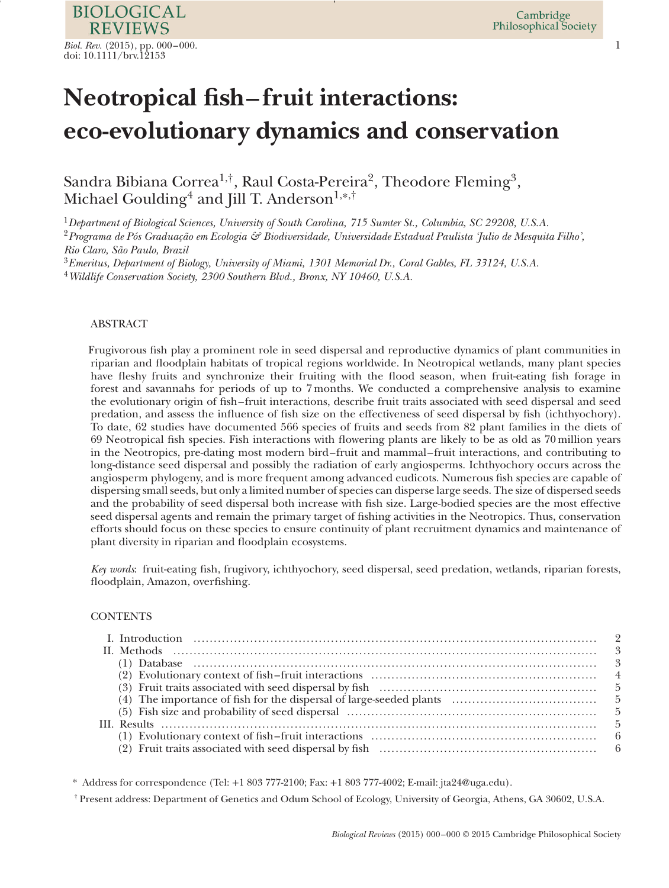# **Neotropical fsh–fruit interactions: eco-evolutionary dynamics and conservation**

Sandra Bibiana Correa<sup>1,†</sup>, Raul Costa-Pereira<sup>2</sup>, Theodore Fleming<sup>3</sup>, Michael Goulding<sup>4</sup> and Jill T. Anderson<sup>1,\*,†</sup>

<sup>1</sup>*Department of Biological Sciences, University of South Carolina, 715 Sumter St., Columbia, SC 29208, U.S.A.* <sup>2</sup>*Programa de Pós Graduação em Ecologia & Biodiversidade, Universidade Estadual Paulista 'Julio de Mesquita Filho',*

*Rio Claro, São Paulo, Brazil*

<sup>3</sup>*Emeritus, Department of Biology, University of Miami, 1301 Memorial Dr., Coral Gables, FL 33124, U.S.A.*

<sup>4</sup>*Wildlife Conservation Society, 2300 Southern Blvd., Bronx, NY 10460, U.S.A.*

# ABSTRACT

Frugivorous fsh play a prominent role in seed dispersal and reproductive dynamics of plant communities in riparian and foodplain habitats of tropical regions worldwide. In Neotropical wetlands, many plant species have feshy fruits and synchronize their fruiting with the food season, when fruit-eating fsh forage in forest and savannahs for periods of up to 7 months. We conducted a comprehensive analysis to examine the evolutionary origin of fsh– fruit interactions, describe fruit traits associated with seed dispersal and seed predation, and assess the infuence of fsh size on the effectiveness of seed dispersal by fsh (ichthyochory). To date, 62 studies have documented 566 species of fruits and seeds from 82 plant families in the diets of 69 Neotropical fsh species. Fish interactions with fowering plants are likely to be as old as 70 million years in the Neotropics, pre-dating most modern bird– fruit and mammal– fruit interactions, and contributing to long-distance seed dispersal and possibly the radiation of early angiosperms. Ichthyochory occurs across the angiosperm phylogeny, and is more frequent among advanced eudicots. Numerous fsh species are capable of dispersing small seeds, but only a limited number of species can disperse large seeds. The size of dispersed seeds and the probability of seed dispersal both increase with fsh size. Large-bodied species are the most effective seed dispersal agents and remain the primary target of fshing activities in the Neotropics. Thus, conservation efforts should focus on these species to ensure continuity of plant recruitment dynamics and maintenance of plant diversity in riparian and foodplain ecosystems.

*Key words*: fruit-eating fsh, frugivory, ichthyochory, seed dispersal, seed predation, wetlands, riparian forests, floodplain, Amazon, overfishing.

# **CONTENTS**

\* Address for correspondence (Tel: +1 803 777-2100; Fax: +1 803 777-4002; E-mail: jta24@uga.edu).

† Present address: Department of Genetics and Odum School of Ecology, University of Georgia, Athens, GA 30602, U.S.A.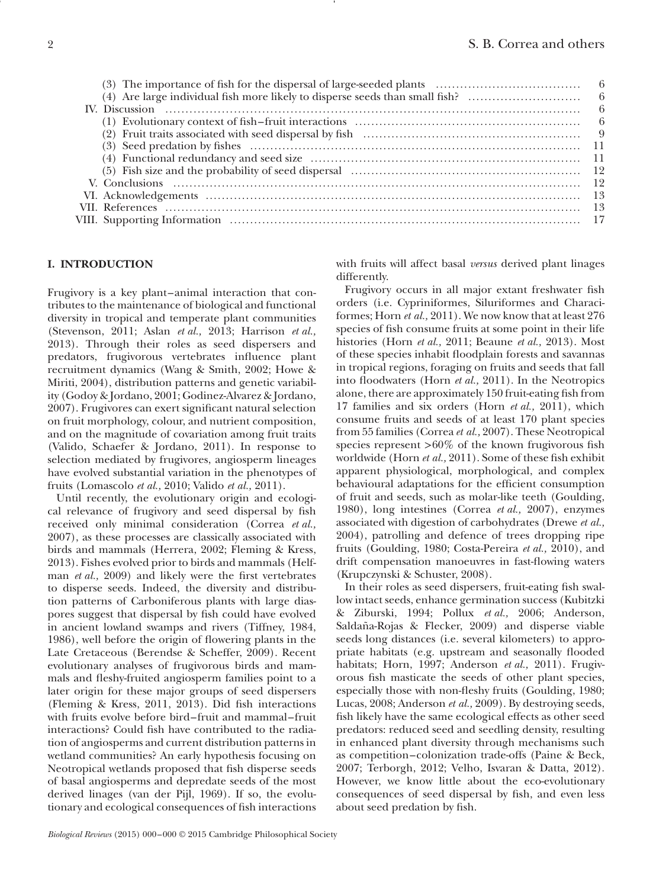# **I. INTRODUCTION**

Frugivory is a key plant–animal interaction that contributes to the maintenance of biological and functional diversity in tropical and temperate plant communities (Stevenson, 2011; Aslan *et al.,* 2013; Harrison *et al.,* 2013). Through their roles as seed dispersers and predators, frugivorous vertebrates infuence plant recruitment dynamics (Wang & Smith, 2002; Howe & Miriti, 2004), distribution patterns and genetic variability (Godoy & Jordano, 2001; Godinez-Alvarez & Jordano, 2007). Frugivores can exert signifcant natural selection on fruit morphology, colour, and nutrient composition, and on the magnitude of covariation among fruit traits (Valido, Schaefer & Jordano, 2011). In response to selection mediated by frugivores, angiosperm lineages have evolved substantial variation in the phenotypes of fruits (Lomascolo *et al.,* 2010; Valido *et al.,* 2011).

Until recently, the evolutionary origin and ecological relevance of frugivory and seed dispersal by fsh received only minimal consideration (Correa *et al.,* 2007), as these processes are classically associated with birds and mammals (Herrera, 2002; Fleming & Kress, 2013). Fishes evolved prior to birds and mammals (Helfman *et al.,* 2009) and likely were the frst vertebrates to disperse seeds. Indeed, the diversity and distribution patterns of Carboniferous plants with large diaspores suggest that dispersal by fsh could have evolved in ancient lowland swamps and rivers (Tiffney, 1984, 1986), well before the origin of fowering plants in the Late Cretaceous (Berendse & Scheffer, 2009). Recent evolutionary analyses of frugivorous birds and mammals and feshy-fruited angiosperm families point to a later origin for these major groups of seed dispersers (Fleming & Kress, 2011, 2013). Did fsh interactions with fruits evolve before bird–fruit and mammal–fruit interactions? Could fsh have contributed to the radiation of angiosperms and current distribution patterns in wetland communities? An early hypothesis focusing on Neotropical wetlands proposed that fsh disperse seeds of basal angiosperms and depredate seeds of the most derived linages (van der Pijl, 1969). If so, the evolutionary and ecological consequences of fsh interactions

with fruits will affect basal *versus* derived plant linages differently.

Frugivory occurs in all major extant freshwater fsh orders (i.e. Cypriniformes, Siluriformes and Characiformes; Horn *et al.,* 2011). We now know that at least 276 species of fsh consume fruits at some point in their life histories (Horn *et al.,* 2011; Beaune *et al.,* 2013). Most of these species inhabit foodplain forests and savannas in tropical regions, foraging on fruits and seeds that fall into floodwaters (Horn *et al.*, 2011). In the Neotropics alone, there are approximately 150 fruit-eating fsh from 17 families and six orders (Horn *et al.,* 2011), which consume fruits and seeds of at least 170 plant species from 55 families (Correa *et al.,* 2007). These Neotropical species represent *>*60% of the known frugivorous fsh worldwide (Horn *et al.,* 2011). Some of these fsh exhibit apparent physiological, morphological, and complex behavioural adaptations for the efficient consumption of fruit and seeds, such as molar-like teeth (Goulding, 1980), long intestines (Correa *et al.,* 2007), enzymes associated with digestion of carbohydrates (Drewe *et al.,* 2004), patrolling and defence of trees dropping ripe fruits (Goulding, 1980; Costa-Pereira *et al.,* 2010), and drift compensation manoeuvres in fast-fowing waters (Krupczynski & Schuster, 2008).

In their roles as seed dispersers, fruit-eating fsh swallow intact seeds, enhance germination success (Kubitzki & Ziburski, 1994; Pollux *et al.,* 2006; Anderson, Saldaña-Rojas & Flecker, 2009) and disperse viable seeds long distances (i.e. several kilometers) to appropriate habitats (e.g. upstream and seasonally flooded habitats; Horn, 1997; Anderson *et al.,* 2011). Frugivorous fsh masticate the seeds of other plant species, especially those with non-feshy fruits (Goulding, 1980; Lucas, 2008; Anderson *et al.,* 2009). By destroying seeds, fsh likely have the same ecological effects as other seed predators: reduced seed and seedling density, resulting in enhanced plant diversity through mechanisms such as competition–colonization trade-offs (Paine & Beck, 2007; Terborgh, 2012; Velho, Isvaran & Datta, 2012). However, we know little about the eco-evolutionary consequences of seed dispersal by fsh, and even less about seed predation by fsh.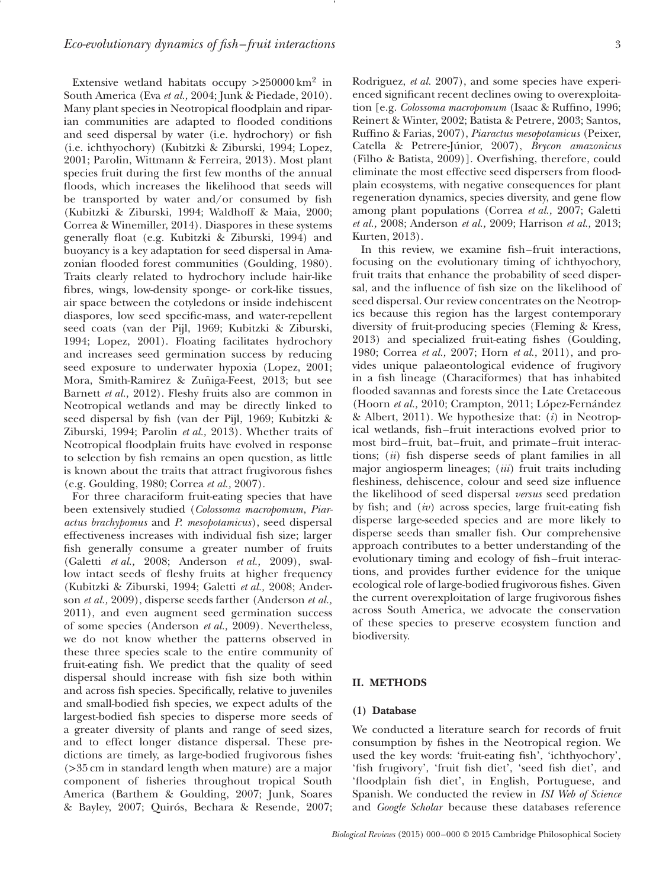Extensive wetland habitats occupy *>*250000 km2 in South America (Eva *et al.,* 2004; Junk & Piedade, 2010). Many plant species in Neotropical floodplain and riparian communities are adapted to flooded conditions and seed dispersal by water (i.e. hydrochory) or fsh (i.e. ichthyochory) (Kubitzki & Ziburski, 1994; Lopez, 2001; Parolin, Wittmann & Ferreira, 2013). Most plant species fruit during the frst few months of the annual floods, which increases the likelihood that seeds will be transported by water and/or consumed by fsh (Kubitzki & Ziburski, 1994; Waldhoff & Maia, 2000; Correa & Winemiller, 2014). Diaspores in these systems generally foat (e.g. Kubitzki & Ziburski, 1994) and buoyancy is a key adaptation for seed dispersal in Amazonian flooded forest communities (Goulding, 1980). Traits clearly related to hydrochory include hair-like fbres, wings, low-density sponge- or cork-like tissues, air space between the cotyledons or inside indehiscent diaspores, low seed specifc-mass, and water-repellent seed coats (van der Pijl, 1969; Kubitzki & Ziburski, 1994; Lopez, 2001). Floating facilitates hydrochory and increases seed germination success by reducing seed exposure to underwater hypoxia (Lopez, 2001; Mora, Smith-Ramirez & Zuñiga-Feest, 2013; but see Barnett *et al.,* 2012). Fleshy fruits also are common in Neotropical wetlands and may be directly linked to seed dispersal by fsh (van der Pijl, 1969; Kubitzki & Ziburski, 1994; Parolin *et al.,* 2013). Whether traits of Neotropical foodplain fruits have evolved in response to selection by fsh remains an open question, as little is known about the traits that attract frugivorous fshes (e.g. Goulding, 1980; Correa *et al.,* 2007).

For three characiform fruit-eating species that have been extensively studied (*Colossoma macropomum*, *Piaractus brachypomus* and *P. mesopotamicus*), seed dispersal effectiveness increases with individual fsh size; larger fsh generally consume a greater number of fruits (Galetti *et al.,* 2008; Anderson *et al.,* 2009), swallow intact seeds of fleshy fruits at higher frequency (Kubitzki & Ziburski, 1994; Galetti *et al.,* 2008; Anderson *et al.,* 2009), disperse seeds farther (Anderson *et al.,* 2011), and even augment seed germination success of some species (Anderson *et al.,* 2009). Nevertheless, we do not know whether the patterns observed in these three species scale to the entire community of fruit-eating fsh. We predict that the quality of seed dispersal should increase with fsh size both within and across fsh species. Specifcally, relative to juveniles and small-bodied fsh species, we expect adults of the largest-bodied fsh species to disperse more seeds of a greater diversity of plants and range of seed sizes, and to effect longer distance dispersal. These predictions are timely, as large-bodied frugivorous fshes (*>*35 cm in standard length when mature) are a major component of fsheries throughout tropical South America (Barthem & Goulding, 2007; Junk, Soares & Bayley, 2007; Quirós, Bechara & Resende, 2007; Rodriguez, *et al.* 2007), and some species have experienced signifcant recent declines owing to overexploitation [e.g. *Colossoma macropomum* (Isaac & Ruffno, 1996; Reinert & Winter, 2002; Batista & Petrere, 2003; Santos, Ruffno & Farias, 2007), *Piaractus mesopotamicus* (Peixer, Catella & Petrere-Júnior, 2007), *Brycon amazonicus* (Filho & Batista, 2009)]. Overfshing, therefore, could eliminate the most effective seed dispersers from floodplain ecosystems, with negative consequences for plant regeneration dynamics, species diversity, and gene fow among plant populations (Correa *et al.,* 2007; Galetti *et al.,* 2008; Anderson *et al.,* 2009; Harrison *et al.,* 2013; Kurten, 2013).

In this review, we examine fish–fruit interactions, focusing on the evolutionary timing of ichthyochory, fruit traits that enhance the probability of seed dispersal, and the infuence of fsh size on the likelihood of seed dispersal. Our review concentrates on the Neotropics because this region has the largest contemporary diversity of fruit-producing species (Fleming & Kress, 2013) and specialized fruit-eating fshes (Goulding, 1980; Correa *et al.,* 2007; Horn *et al.,* 2011), and provides unique palaeontological evidence of frugivory in a fsh lineage (Characiformes) that has inhabited flooded savannas and forests since the Late Cretaceous (Hoorn *et al.,* 2010; Crampton, 2011; López-Fernández & Albert, 2011). We hypothesize that: (*i*) in Neotropical wetlands, fsh– fruit interactions evolved prior to most bird–fruit, bat–fruit, and primate–fruit interactions; (*ii*) fsh disperse seeds of plant families in all major angiosperm lineages; (*iii*) fruit traits including feshiness, dehiscence, colour and seed size infuence the likelihood of seed dispersal *versus* seed predation by fsh; and (*iv*) across species, large fruit-eating fsh disperse large-seeded species and are more likely to disperse seeds than smaller fsh. Our comprehensive approach contributes to a better understanding of the evolutionary timing and ecology of fsh– fruit interactions, and provides further evidence for the unique ecological role of large-bodied frugivorous fshes. Given the current overexploitation of large frugivorous fshes across South America, we advocate the conservation of these species to preserve ecosystem function and biodiversity.

#### **II. METHODS**

# **(1) Database**

We conducted a literature search for records of fruit consumption by fshes in the Neotropical region. We used the key words: 'fruit-eating fsh', 'ichthyochory', 'fsh frugivory', 'fruit fsh diet', 'seed fsh diet', and 'foodplain fsh diet', in English, Portuguese, and Spanish. We conducted the review in *ISI Web of Science* and *Google Scholar* because these databases reference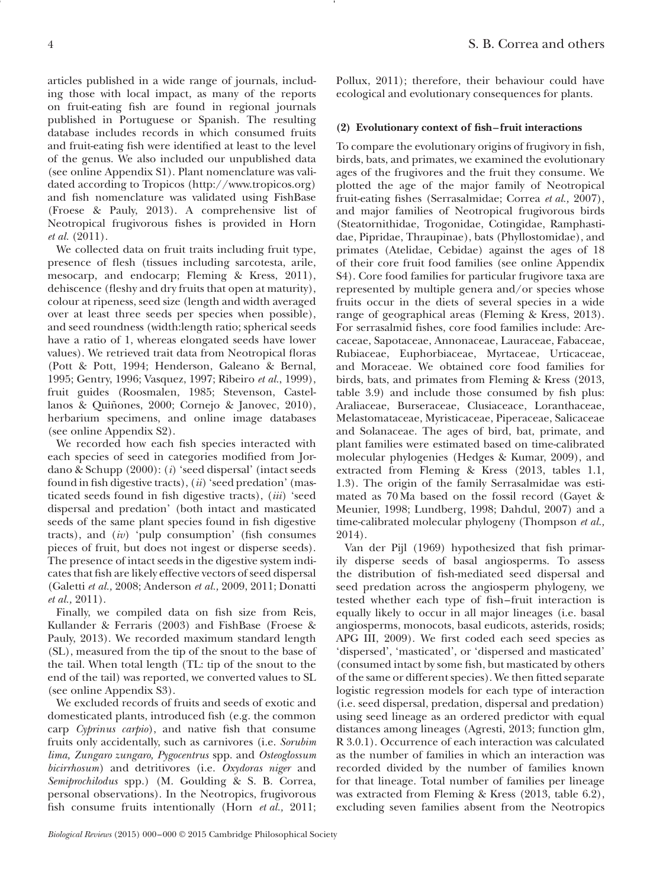articles published in a wide range of journals, including those with local impact, as many of the reports on fruit-eating fsh are found in regional journals published in Portuguese or Spanish. The resulting database includes records in which consumed fruits and fruit-eating fsh were identifed at least to the level of the genus. We also included our unpublished data (see online Appendix S1). Plant nomenclature was validated according to Tropicos (http://www.tropicos.org) and fsh nomenclature was validated using FishBase (Froese & Pauly, 2013). A comprehensive list of Neotropical frugivorous fshes is provided in Horn *et al.* (2011).

We collected data on fruit traits including fruit type, presence of fesh (tissues including sarcotesta, arile, mesocarp, and endocarp; Fleming & Kress, 2011), dehiscence (fleshy and dry fruits that open at maturity), colour at ripeness, seed size (length and width averaged over at least three seeds per species when possible), and seed roundness (width:length ratio; spherical seeds have a ratio of 1, whereas elongated seeds have lower values). We retrieved trait data from Neotropical foras (Pott & Pott, 1994; Henderson, Galeano & Bernal, 1995; Gentry, 1996; Vasquez, 1997; Ribeiro *et al.*, 1999), fruit guides (Roosmalen, 1985; Stevenson, Castellanos & Quiñones, 2000; Cornejo & Janovec, 2010), herbarium specimens, and online image databases (see online Appendix S2).

We recorded how each fish species interacted with each species of seed in categories modifed from Jordano & Schupp (2000): (*i*) 'seed dispersal' (intact seeds found in fsh digestive tracts), (*ii*) 'seed predation' (masticated seeds found in fsh digestive tracts), (*iii*) 'seed dispersal and predation' (both intact and masticated seeds of the same plant species found in fsh digestive tracts), and *(iv)* 'pulp consumption' (fish consumes pieces of fruit, but does not ingest or disperse seeds). The presence of intact seeds in the digestive system indicates that fsh are likely effective vectors of seed dispersal (Galetti *et al.,* 2008; Anderson *et al.,* 2009, 2011; Donatti *et al.,* 2011).

Finally, we compiled data on fish size from Reis, Kullander & Ferraris (2003) and FishBase (Froese & Pauly, 2013). We recorded maximum standard length (SL), measured from the tip of the snout to the base of the tail. When total length (TL: tip of the snout to the end of the tail) was reported, we converted values to SL (see online Appendix S3).

We excluded records of fruits and seeds of exotic and domesticated plants, introduced fsh (e.g. the common carp *Cyprinus carpio*), and native fsh that consume fruits only accidentally, such as carnivores (i.e. *Sorubim lima, Zungaro zungaro, Pygocentrus* spp. and *Osteoglossum bicirrhosum*) and detritivores (i.e. *Oxydoras niger* and *Semiprochilodus* spp.) (M. Goulding & S. B. Correa, personal observations). In the Neotropics, frugivorous fsh consume fruits intentionally (Horn *et al.,* 2011;

*Biological Reviews* (2015) 000–000 © 2015 Cambridge Philosophical Society

Pollux, 2011); therefore, their behaviour could have ecological and evolutionary consequences for plants.

# **(2) Evolutionary context of fsh–fruit interactions**

To compare the evolutionary origins of frugivory in fsh, birds, bats, and primates, we examined the evolutionary ages of the frugivores and the fruit they consume. We plotted the age of the major family of Neotropical fruit-eating fshes (Serrasalmidae; Correa *et al.,* 2007), and major families of Neotropical frugivorous birds (Steatornithidae, Trogonidae, Cotingidae, Ramphastidae, Pipridae, Thraupinae), bats (Phyllostomidae), and primates (Atelidae, Cebidae) against the ages of 18 of their core fruit food families (see online Appendix S4). Core food families for particular frugivore taxa are represented by multiple genera and/or species whose fruits occur in the diets of several species in a wide range of geographical areas (Fleming & Kress, 2013). For serrasalmid fshes, core food families include: Arecaceae, Sapotaceae, Annonaceae, Lauraceae, Fabaceae, Rubiaceae, Euphorbiaceae, Myrtaceae, Urticaceae, and Moraceae. We obtained core food families for birds, bats, and primates from Fleming & Kress (2013, table 3.9) and include those consumed by fsh plus: Araliaceae, Burseraceae, Clusiaceace, Loranthaceae, Melastomataceae, Myristicaceae, Piperaceae, Salicaceae and Solanaceae. The ages of bird, bat, primate, and plant families were estimated based on time-calibrated molecular phylogenies (Hedges & Kumar, 2009), and extracted from Fleming & Kress (2013, tables 1.1, 1.3). The origin of the family Serrasalmidae was estimated as 70 Ma based on the fossil record (Gayet & Meunier, 1998; Lundberg, 1998; Dahdul, 2007) and a time-calibrated molecular phylogeny (Thompson *et al.,* 2014).

Van der Pijl (1969) hypothesized that fsh primarily disperse seeds of basal angiosperms. To assess the distribution of fsh-mediated seed dispersal and seed predation across the angiosperm phylogeny, we tested whether each type of fsh– fruit interaction is equally likely to occur in all major lineages (i.e. basal angiosperms, monocots, basal eudicots, asterids, rosids; APG III, 2009). We frst coded each seed species as 'dispersed', 'masticated', or 'dispersed and masticated' (consumed intact by some fsh, but masticated by others of the same or different species). We then ftted separate logistic regression models for each type of interaction (i.e. seed dispersal, predation, dispersal and predation) using seed lineage as an ordered predictor with equal distances among lineages (Agresti, 2013; function glm, R 3.0.1). Occurrence of each interaction was calculated as the number of families in which an interaction was recorded divided by the number of families known for that lineage. Total number of families per lineage was extracted from Fleming & Kress (2013, table 6.2), excluding seven families absent from the Neotropics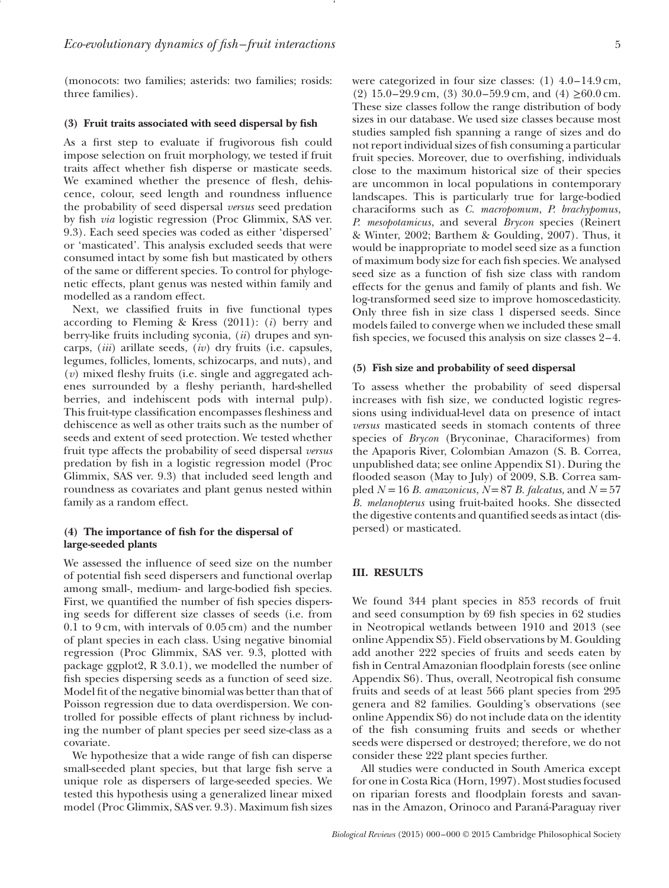(monocots: two families; asterids: two families; rosids: three families).

#### **(3) Fruit traits associated with seed dispersal by fsh**

As a frst step to evaluate if frugivorous fsh could impose selection on fruit morphology, we tested if fruit traits affect whether fsh disperse or masticate seeds. We examined whether the presence of flesh, dehiscence, colour, seed length and roundness infuence the probability of seed dispersal *versus* seed predation by fsh *via* logistic regression (Proc Glimmix, SAS ver. 9.3). Each seed species was coded as either 'dispersed' or 'masticated'. This analysis excluded seeds that were consumed intact by some fsh but masticated by others of the same or different species. To control for phylogenetic effects, plant genus was nested within family and modelled as a random effect.

Next, we classifed fruits in fve functional types according to Fleming & Kress (2011): (*i*) berry and berry-like fruits including syconia, (*ii*) drupes and syncarps, (*iii*) arillate seeds, (*iv*) dry fruits (i.e. capsules, legumes, follicles, loments, schizocarps, and nuts), and (*v*) mixed feshy fruits (i.e. single and aggregated achenes surrounded by a feshy perianth, hard-shelled berries, and indehiscent pods with internal pulp). This fruit-type classifcation encompasses feshiness and dehiscence as well as other traits such as the number of seeds and extent of seed protection. We tested whether fruit type affects the probability of seed dispersal *versus* predation by fsh in a logistic regression model (Proc Glimmix, SAS ver. 9.3) that included seed length and roundness as covariates and plant genus nested within family as a random effect.

# **(4) The importance of fsh for the dispersal of large-seeded plants**

We assessed the infuence of seed size on the number of potential fsh seed dispersers and functional overlap among small-, medium- and large-bodied fsh species. First, we quantifed the number of fsh species dispersing seeds for different size classes of seeds (i.e. from 0.1 to 9 cm, with intervals of 0.05 cm) and the number of plant species in each class. Using negative binomial regression (Proc Glimmix, SAS ver. 9.3, plotted with package ggplot2, R 3.0.1), we modelled the number of fish species dispersing seeds as a function of seed size. Model ft of the negative binomial was better than that of Poisson regression due to data overdispersion. We controlled for possible effects of plant richness by including the number of plant species per seed size-class as a covariate.

We hypothesize that a wide range of fish can disperse small-seeded plant species, but that large fsh serve a unique role as dispersers of large-seeded species. We tested this hypothesis using a generalized linear mixed model (Proc Glimmix, SAS ver. 9.3). Maximum fsh sizes

were categorized in four size classes: (1) 4.0–14.9 cm, (2) 15.0–29.9 cm, (3) 30.0–59.9 cm, and (4)  $\geq$  60.0 cm. These size classes follow the range distribution of body sizes in our database. We used size classes because most studies sampled fsh spanning a range of sizes and do not report individual sizes of fsh consuming a particular fruit species. Moreover, due to overfshing, individuals close to the maximum historical size of their species are uncommon in local populations in contemporary landscapes. This is particularly true for large-bodied characiforms such as *C. macropomum*, *P. brachypomus*, *P. mesopotamicus*, and several *Brycon* species (Reinert & Winter, 2002; Barthem & Goulding, 2007). Thus, it would be inappropriate to model seed size as a function of maximum body size for each fsh species. We analysed seed size as a function of fsh size class with random effects for the genus and family of plants and fsh. We log-transformed seed size to improve homoscedasticity. Only three fsh in size class 1 dispersed seeds. Since models failed to converge when we included these small fsh species, we focused this analysis on size classes 2–4.

#### **(5) Fish size and probability of seed dispersal**

To assess whether the probability of seed dispersal increases with fsh size, we conducted logistic regressions using individual-level data on presence of intact *versus* masticated seeds in stomach contents of three species of *Brycon* (Bryconinae, Characiformes) from the Apaporis River, Colombian Amazon (S. B. Correa, unpublished data; see online Appendix S1). During the flooded season (May to July) of 2009, S.B. Correa sampled  $N = 16 B$ . *amazonicus*,  $N = 87 B$ . *falcatus*, and  $N = 57$ *B. melanopterus* using fruit-baited hooks. She dissected the digestive contents and quantifed seeds as intact (dispersed) or masticated.

# **III. RESULTS**

We found 344 plant species in 853 records of fruit and seed consumption by 69 fsh species in 62 studies in Neotropical wetlands between 1910 and 2013 (see online Appendix S5). Field observations by M. Goulding add another 222 species of fruits and seeds eaten by fish in Central Amazonian floodplain forests (see online Appendix S6). Thus, overall, Neotropical fish consume fruits and seeds of at least 566 plant species from 295 genera and 82 families. Goulding's observations (see online Appendix S6) do not include data on the identity of the fsh consuming fruits and seeds or whether seeds were dispersed or destroyed; therefore, we do not consider these 222 plant species further.

All studies were conducted in South America except for one in Costa Rica (Horn, 1997). Most studies focused on riparian forests and foodplain forests and savannas in the Amazon, Orinoco and Paraná-Paraguay river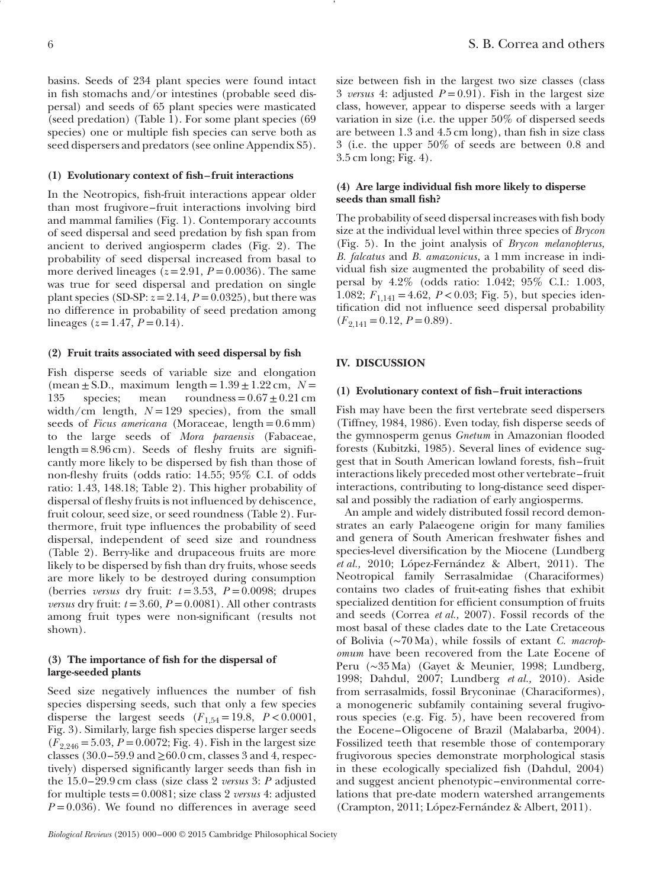basins. Seeds of 234 plant species were found intact in fish stomachs and/or intestines (probable seed dispersal) and seeds of 65 plant species were masticated (seed predation) (Table 1). For some plant species (69 species) one or multiple fsh species can serve both as seed dispersers and predators (see online Appendix S5).

#### **(1) Evolutionary context of fsh–fruit interactions**

In the Neotropics, fsh-fruit interactions appear older than most frugivore–fruit interactions involving bird and mammal families (Fig. 1). Contemporary accounts of seed dispersal and seed predation by fsh span from ancient to derived angiosperm clades (Fig. 2). The probability of seed dispersal increased from basal to more derived lineages  $(z=2.91, P=0.0036)$ . The same was true for seed dispersal and predation on single plant species (SD-SP:  $z = 2.14$ ,  $P = 0.0325$ ), but there was no difference in probability of seed predation among lineages ( $z = 1.47, P = 0.14$ ).

# **(2) Fruit traits associated with seed dispersal by fsh**

Fish disperse seeds of variable size and elongation (mean  $\pm$  S.D., maximum length =  $1.39 \pm 1.22$  cm,  $N =$ 135 species; mean roundness =  $0.67 \pm 0.21$  cm width/cm length,  $N=129$  species), from the small seeds of *Ficus americana* (Moraceae, length=0.6 mm) to the large seeds of *Mora paraensis* (Fabaceae, length =  $8.96$  cm). Seeds of fleshy fruits are significantly more likely to be dispersed by fsh than those of non-feshy fruits (odds ratio: 14.55; 95% C.I. of odds ratio: 1.43, 148.18; Table 2). This higher probability of dispersal of fleshy fruits is not influenced by dehiscence, fruit colour, seed size, or seed roundness (Table 2). Furthermore, fruit type infuences the probability of seed dispersal, independent of seed size and roundness (Table 2). Berry-like and drupaceous fruits are more likely to be dispersed by fsh than dry fruits, whose seeds are more likely to be destroyed during consumption (berries *versus* dry fruit:  $t = 3.53$ ,  $P = 0.0098$ ; drupes *versus* dry fruit:  $t = 3.60$ ,  $P = 0.0081$ ). All other contrasts among fruit types were non-signifcant (results not shown).

# **(3) The importance of fsh for the dispersal of large-seeded plants**

Seed size negatively infuences the number of fsh species dispersing seeds, such that only a few species disperse the largest seeds  $(F_{1.54} = 19.8, P < 0.0001,$ Fig. 3). Similarly, large fsh species disperse larger seeds  $(F_{2,246} = 5.03, P = 0.0072;$  Fig. 4). Fish in the largest size classes (30.0–59.9 and  $\geq$ 60.0 cm, classes 3 and 4, respectively) dispersed signifcantly larger seeds than fsh in the 15.0–29.9 cm class (size class 2 *versus* 3: *P* adjusted for multiple tests=0.0081; size class 2 *versus* 4: adjusted  $P = 0.036$ ). We found no differences in average seed size between fsh in the largest two size classes (class 3 *versus* 4: adjusted  $P = 0.91$ . Fish in the largest size class, however, appear to disperse seeds with a larger variation in size (i.e. the upper 50% of dispersed seeds are between 1.3 and 4.5 cm long), than fsh in size class 3 (i.e. the upper 50% of seeds are between 0.8 and 3.5 cm long; Fig. 4).

### **(4) Are large individual fsh more likely to disperse seeds than small fsh?**

The probability of seed dispersal increases with fsh body size at the individual level within three species of *Brycon* (Fig. 5). In the joint analysis of *Brycon melanopterus, B. falcatus* and *B. amazonicus*, a 1 mm increase in individual fsh size augmented the probability of seed dispersal by 4.2% (odds ratio: 1.042; 95% C.I.: 1.003, 1.082;  $F_{1,141} = 4.62$ ,  $P < 0.03$ ; Fig. 5), but species identifcation did not infuence seed dispersal probability  $(F_{2,141} = 0.12, P = 0.89).$ 

#### **IV. DISCUSSION**

#### **(1) Evolutionary context of fsh–fruit interactions**

Fish may have been the frst vertebrate seed dispersers (Tiffney, 1984, 1986). Even today, fsh disperse seeds of the gymnosperm genus *Gnetum* in Amazonian flooded forests (Kubitzki, 1985). Several lines of evidence suggest that in South American lowland forests, fsh– fruit interactions likely preceded most other vertebrate– fruit interactions, contributing to long-distance seed dispersal and possibly the radiation of early angiosperms.

An ample and widely distributed fossil record demonstrates an early Palaeogene origin for many families and genera of South American freshwater fshes and species-level diversifcation by the Miocene (Lundberg *et al.,* 2010; López-Fernández & Albert, 2011). The Neotropical family Serrasalmidae (Characiformes) contains two clades of fruit-eating fshes that exhibit specialized dentition for efficient consumption of fruits and seeds (Correa *et al.,* 2007). Fossil records of the most basal of these clades date to the Late Cretaceous of Bolivia (∼70 Ma), while fossils of extant *C. macropomum* have been recovered from the Late Eocene of Peru (∼35 Ma) (Gayet & Meunier, 1998; Lundberg, 1998; Dahdul, 2007; Lundberg *et al.,* 2010). Aside from serrasalmids, fossil Bryconinae (Characiformes), a monogeneric subfamily containing several frugivorous species (e.g. Fig. 5)*,* have been recovered from the Eocene–Oligocene of Brazil (Malabarba, 2004). Fossilized teeth that resemble those of contemporary frugivorous species demonstrate morphological stasis in these ecologically specialized fsh (Dahdul, 2004) and suggest ancient phenotypic–environmental correlations that pre-date modern watershed arrangements (Crampton, 2011; López-Fernández & Albert, 2011).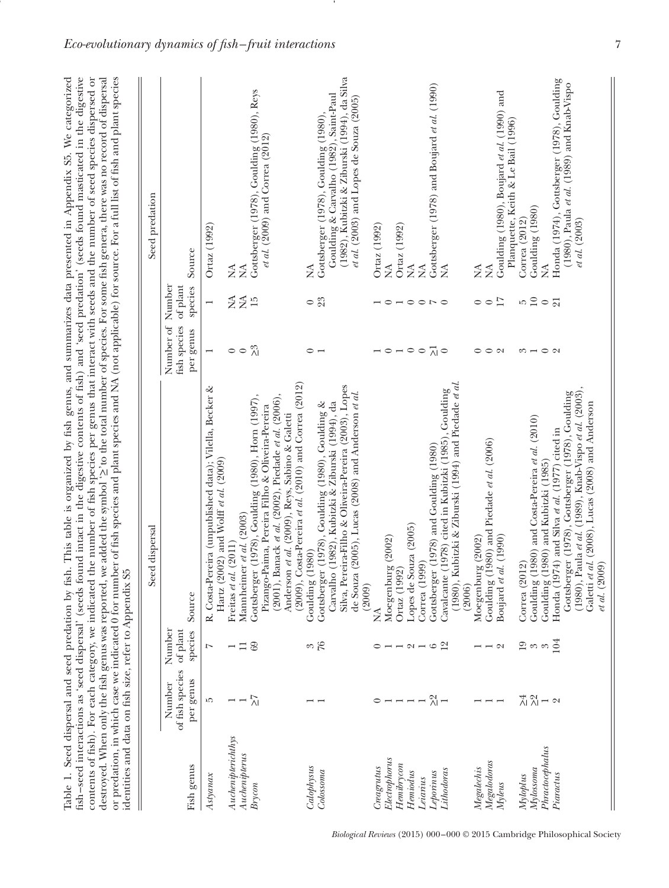| identities and data on fish size, refer to Appendix S5<br>destroyed. When only the fish genus was reported, |                                        |                               | Table 1. Seed dispersal and seed predation by fish. This table is organized by fish genus, and summarizes data presented in Appendix S5. We categorized<br>contents of fish). For each category, we indicated the number of fish species per genus that interact with seeds and the number of seed species dispersed or<br>or predation, in which case we indicated 0 for number of fish species and plant species and NA (not applicable) for source. For a full list of fish and plant species<br>fish-seed interactions as 'seed dispersal' (seeds found intact in the digestive contents of fish) and 'seed predation' (seeds found masticated in the digestive |                                                                                                    |                     | we added the symbol <a>&gt;&gt;&gt;&gt;&gt;</a> to the total number of species. For some fish genera, there was no record of dispersal                                        |
|-------------------------------------------------------------------------------------------------------------|----------------------------------------|-------------------------------|---------------------------------------------------------------------------------------------------------------------------------------------------------------------------------------------------------------------------------------------------------------------------------------------------------------------------------------------------------------------------------------------------------------------------------------------------------------------------------------------------------------------------------------------------------------------------------------------------------------------------------------------------------------------|----------------------------------------------------------------------------------------------------|---------------------|-------------------------------------------------------------------------------------------------------------------------------------------------------------------------------|
|                                                                                                             |                                        |                               | Seed dispersal                                                                                                                                                                                                                                                                                                                                                                                                                                                                                                                                                                                                                                                      |                                                                                                    |                     | Seed predation                                                                                                                                                                |
| Fish genus                                                                                                  | of fish species<br>per genus<br>Number | of plant<br>Number<br>species | Source                                                                                                                                                                                                                                                                                                                                                                                                                                                                                                                                                                                                                                                              | Number of Number<br>fish species<br>per genus                                                      | of plant<br>species | Source                                                                                                                                                                        |
| $A$ styana $x$                                                                                              | ĩΟ,                                    | $\overline{z}$                | R. Costa-Pereira (unpublished data); Vilella, Becker &<br>Hartz (2002) and Wolff et al. $(2009)$                                                                                                                                                                                                                                                                                                                                                                                                                                                                                                                                                                    | $\overline{ }$                                                                                     |                     | Ortaz (1992)                                                                                                                                                                  |
| $A u$ chenipterichthys                                                                                      |                                        |                               | Freitas et al. $(2011)$                                                                                                                                                                                                                                                                                                                                                                                                                                                                                                                                                                                                                                             | $\circ$                                                                                            | ≸                   | ≸                                                                                                                                                                             |
| $\label{prop:nonlinear} Auchenipterus$                                                                      |                                        | $\Box$                        | Mannheimer et al. (2003)                                                                                                                                                                                                                                                                                                                                                                                                                                                                                                                                                                                                                                            | $\circ$                                                                                            | $\frac{45}{2}$      | $\tilde{\ge}$                                                                                                                                                                 |
| Brycon                                                                                                      | $\tilde{K}$                            | 69                            | (2009), Costa-Pereira et al. (2010) and Correa (2012)<br>(2001), Banack et al. (2002), Piedade et al. (2006),<br>Gottsberger (1978), Goulding (1980), Horn (1997),<br>Pizango-Paima, Pereira Filho & Oliveira-Pereira<br>Anderson et al. (2009), Reys, Sabino & Galetti                                                                                                                                                                                                                                                                                                                                                                                             | $\geq 3$                                                                                           |                     | Gottsberger (1978), Goulding (1980), Reys<br><i>et al.</i> (2009) and Correa (2012)                                                                                           |
| Calophysus                                                                                                  |                                        |                               | (1980)<br>Goulding                                                                                                                                                                                                                                                                                                                                                                                                                                                                                                                                                                                                                                                  | $\circ$                                                                                            | $\circ$             | ≸                                                                                                                                                                             |
|                                                                                                             |                                        | $\frac{3}{6}$                 |                                                                                                                                                                                                                                                                                                                                                                                                                                                                                                                                                                                                                                                                     |                                                                                                    | 23                  |                                                                                                                                                                               |
| Colossoma                                                                                                   |                                        |                               | Silva, Pereira-Filho & Oliveira-Pereira (2003), Lopes<br>de Souza (2005), Lucas (2008) and Anderson et al.<br>Carvalho (1982), Kubitzki & Ziburski (1994), da<br>Gottsberger (1978), Goulding (1980), Goulding &<br>(2009)                                                                                                                                                                                                                                                                                                                                                                                                                                          |                                                                                                    |                     | (1982), Kubitzki & Ziburski (1994), da Silva<br>Goulding & Carvalho (1982), Saint-Paul<br>et al. $(2003)$ and Lopes de Souza $(2005)$<br>Gottsberger (1978), Goulding (1980), |
| Creagrutus                                                                                                  | 0                                      |                               | $\lessgtr$                                                                                                                                                                                                                                                                                                                                                                                                                                                                                                                                                                                                                                                          |                                                                                                    |                     | Ortaz (1992)                                                                                                                                                                  |
| Electrophorus                                                                                               |                                        |                               |                                                                                                                                                                                                                                                                                                                                                                                                                                                                                                                                                                                                                                                                     |                                                                                                    |                     | $\lessapprox$                                                                                                                                                                 |
| Hemibrycon                                                                                                  |                                        |                               | Moegenburg (2002)<br>Ortaz (1992)                                                                                                                                                                                                                                                                                                                                                                                                                                                                                                                                                                                                                                   | $\overline{\phantom{0}}$ $\circ$ $\overline{\phantom{0}}$ $\circ$ $\overline{\phantom{0}}$ $\circ$ |                     | Ortaz (1992)                                                                                                                                                                  |
| Hemiodus                                                                                                    |                                        | $\boldsymbol{\mathsf{C}}$     | Lopes de Souza (2005)                                                                                                                                                                                                                                                                                                                                                                                                                                                                                                                                                                                                                                               |                                                                                                    |                     | $\lessapprox$                                                                                                                                                                 |
| Leiarius                                                                                                    |                                        |                               | Correa (1999)                                                                                                                                                                                                                                                                                                                                                                                                                                                                                                                                                                                                                                                       |                                                                                                    |                     | $\lessapprox$                                                                                                                                                                 |
| Leporinus                                                                                                   | $\frac{2}{\sqrt{2}}$                   | $\circ$                       | Gottsberger (1978) and Goulding (1980)                                                                                                                                                                                                                                                                                                                                                                                                                                                                                                                                                                                                                              | $\overline{\wedge}{}$<br>$\circ$                                                                   | - - - - - - -       | Gottsberger (1978) and Boujard et al. (1990)                                                                                                                                  |
| $\label{thm:top} Libodoras$                                                                                 | $\overline{\phantom{0}}$               | 12                            | Kubitzki & Ziburski (1994) and Piedade et al.<br>Cavalcante (1978) cited in Kubitzki (1985), Goulding<br>$(1980)$ , I<br>(2006)                                                                                                                                                                                                                                                                                                                                                                                                                                                                                                                                     |                                                                                                    |                     | $\tilde{\ge}$                                                                                                                                                                 |
| Megalechis                                                                                                  |                                        |                               | Moegenburg (2002)                                                                                                                                                                                                                                                                                                                                                                                                                                                                                                                                                                                                                                                   | $\circ$                                                                                            |                     | ≸                                                                                                                                                                             |
| Megalodoras                                                                                                 |                                        |                               | $(1980)$ and Piedade et al. $(2006)$<br>Goulding                                                                                                                                                                                                                                                                                                                                                                                                                                                                                                                                                                                                                    | $\circ$ $\circ$                                                                                    | $rac{1}{\circ}$     | $\lessapprox$                                                                                                                                                                 |
| $\label{eq:1} Myle us$                                                                                      |                                        | $\mathbf{\Omega}$             | al. (1990)<br>Boujard et                                                                                                                                                                                                                                                                                                                                                                                                                                                                                                                                                                                                                                            |                                                                                                    |                     | Goulding (1980), Boujard et al. (1990) and<br>Planquette, Keith & Le Bail (1996)                                                                                              |
| Myloplus                                                                                                    | N VI<br>4                              |                               | Correa (2012)                                                                                                                                                                                                                                                                                                                                                                                                                                                                                                                                                                                                                                                       | $\frac{3}{2}$                                                                                      | $\frac{5}{10}$      | Correa (2012)                                                                                                                                                                 |
| Mylossoma                                                                                                   |                                        | $2 \text{ m} \cdot \text{ m}$ | $(1980)$ and Costa-Pereira et al. $(2010)$<br>Goulding (                                                                                                                                                                                                                                                                                                                                                                                                                                                                                                                                                                                                            |                                                                                                    |                     | Goulding (1980)                                                                                                                                                               |
| Phractocephalus                                                                                             | $ \alpha$                              |                               | Goulding $(1980)$ and Kubitzki $(1985)$<br>Honda $(1974)$ and Silva et al. $(1977)$ cited in                                                                                                                                                                                                                                                                                                                                                                                                                                                                                                                                                                        | $\circ$ $\circ$                                                                                    | $\frac{1}{2}$       | ≸                                                                                                                                                                             |
| Piaractus                                                                                                   |                                        |                               | (1980), Paula et al. (1989), Knab-Vispo et al. (2003),<br>Gottsberger (1978), Gottsberger (1978), Goulding<br>Galetti et al. (2008), Lucas (2008) and Anderson<br>et al. (2009)                                                                                                                                                                                                                                                                                                                                                                                                                                                                                     |                                                                                                    |                     | Honda (1974), Gottsberger (1978), Goulding<br>$(1980)$ , Paula et al. $(1989)$ and Knab-Vispo<br>et al. (2003)                                                                |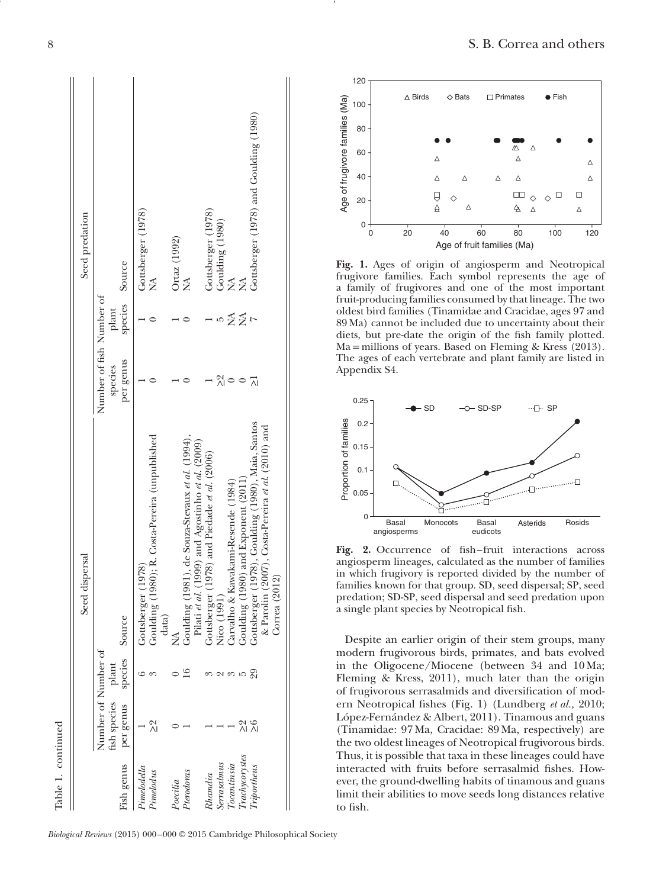| Gottsberger (1978), Goulding (1980), Maia, Santos<br>& Parolin (2007), Costa-Pereira et al. (2010) and<br>Goulding (1981), de Souza-Stevaux et al. (1994),<br>Pilati et al. (1999) and Agostinho et al. (2009)<br>Gottsberger (1978) and Piedade et al. (2006)<br>Goulding (1980) and Exponent (2011)<br>Carvalho & Kawakami-Resende (1984)<br>Nico (1991)<br>Ź<br>$\mathbb{S}^3$<br>$\frac{6}{2}$<br>있<br>시<br>Trachycorystes<br>Serrasalmus<br>To can tinsia<br><b>Triportheus</b><br>Pterodoras<br>Rhamdia | Goulding (1980); R. Costa-Pereira (unpublished | species Source<br>Number of fish Number of<br>plant<br>per genus<br>species |
|---------------------------------------------------------------------------------------------------------------------------------------------------------------------------------------------------------------------------------------------------------------------------------------------------------------------------------------------------------------------------------------------------------------------------------------------------------------------------------------------------------------|------------------------------------------------|-----------------------------------------------------------------------------|
|---------------------------------------------------------------------------------------------------------------------------------------------------------------------------------------------------------------------------------------------------------------------------------------------------------------------------------------------------------------------------------------------------------------------------------------------------------------------------------------------------------------|------------------------------------------------|-----------------------------------------------------------------------------|

Table 1. continued



**Fig. 1.** Ages of origin of angiosperm and Neotropical frugivore families. Each symbol represents the age of a family of frugivores and one of the most important fruit-producing families consumed by that lineage. The two oldest bird families (Tinamidae and Cracidae, ages 97 and 89 Ma) cannot be included due to uncertainty about their diets, but pre-date the origin of the fsh family plotted. Ma = millions of years. Based on Fleming & Kress (2013). The ages of each vertebrate and plant family are listed in Appendix S4.



Fig. 2. Occurrence of fish-fruit interactions across angiosperm lineages, calculated as the number of families in which frugivory is reported divided by the number of families known for that group. SD, seed dispersal; SP, seed predation; SD-SP, seed dispersal and seed predation upon a single plant species by Neotropical fsh.

Despite an earlier origin of their stem groups, many modern frugivorous birds, primates, and bats evolved in the Oligocene/Miocene (between 34 and 10 Ma; Fleming & Kress, 2011), much later than the origin of frugivorous serrasalmids and diversifcation of modern Neotropical fshes (Fig. 1) (Lundberg *et al.,* 2010; López-Fernández & Albert, 2011). Tinamous and guans (Tinamidae: 97 Ma, Cracidae: 89 Ma, respectively) are the two oldest lineages of Neotropical frugivorous birds. Thus, it is possible that taxa in these lineages could have interacted with fruits before serrasalmid fshes. However, the ground-dwelling habits of tinamous and guans limit their abilities to move seeds long distances relative to fish.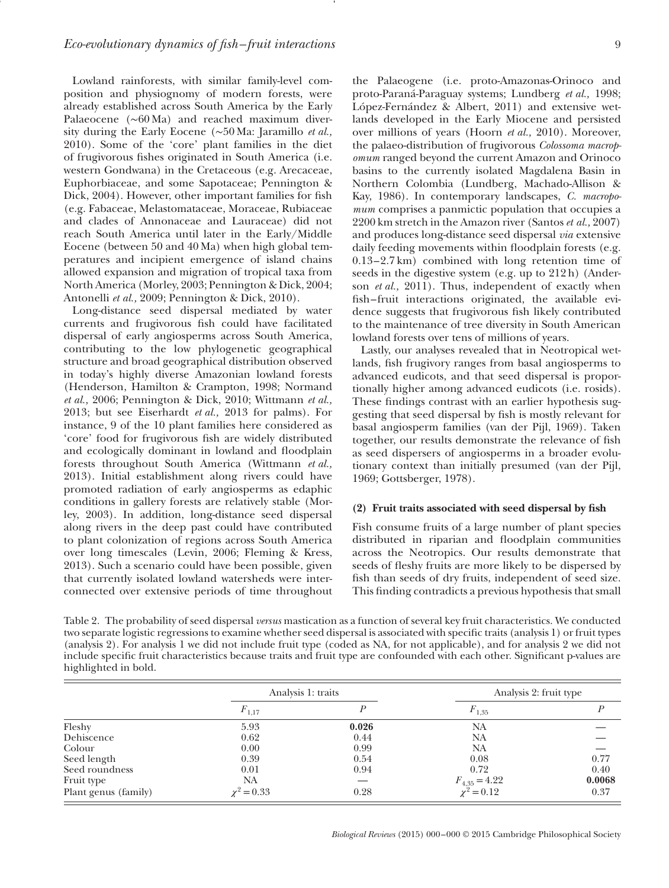Lowland rainforests, with similar family-level composition and physiognomy of modern forests, were already established across South America by the Early Palaeocene (∼60 Ma) and reached maximum diversity during the Early Eocene (∼50 Ma: Jaramillo *et al.,* 2010). Some of the 'core' plant families in the diet of frugivorous fshes originated in South America (i.e. western Gondwana) in the Cretaceous (e.g. Arecaceae, Euphorbiaceae, and some Sapotaceae; Pennington & Dick, 2004). However, other important families for fsh (e.g. Fabaceae, Melastomataceae, Moraceae, Rubiaceae and clades of Annonaceae and Lauraceae) did not reach South America until later in the Early/Middle Eocene (between 50 and 40 Ma) when high global temperatures and incipient emergence of island chains allowed expansion and migration of tropical taxa from North America (Morley, 2003; Pennington & Dick, 2004; Antonelli *et al.,* 2009; Pennington & Dick, 2010).

Long-distance seed dispersal mediated by water currents and frugivorous fsh could have facilitated dispersal of early angiosperms across South America, contributing to the low phylogenetic geographical structure and broad geographical distribution observed in today's highly diverse Amazonian lowland forests (Henderson, Hamilton & Crampton, 1998; Normand *et al.,* 2006; Pennington & Dick, 2010; Wittmann *et al.,* 2013; but see Eiserhardt *et al.,* 2013 for palms). For instance, 9 of the 10 plant families here considered as 'core' food for frugivorous fsh are widely distributed and ecologically dominant in lowland and foodplain forests throughout South America (Wittmann *et al.,* 2013). Initial establishment along rivers could have promoted radiation of early angiosperms as edaphic conditions in gallery forests are relatively stable (Morley, 2003). In addition, long-distance seed dispersal along rivers in the deep past could have contributed to plant colonization of regions across South America over long timescales (Levin, 2006; Fleming & Kress, 2013). Such a scenario could have been possible, given that currently isolated lowland watersheds were interconnected over extensive periods of time throughout the Palaeogene (i.e. proto-Amazonas-Orinoco and proto-Paraná-Paraguay systems; Lundberg *et al.,* 1998; López-Fernández & Albert, 2011) and extensive wetlands developed in the Early Miocene and persisted over millions of years (Hoorn *et al.,* 2010). Moreover, the palaeo-distribution of frugivorous *Colossoma macropomum* ranged beyond the current Amazon and Orinoco basins to the currently isolated Magdalena Basin in Northern Colombia (Lundberg, Machado-Allison & Kay, 1986). In contemporary landscapes, *C. macropomum* comprises a panmictic population that occupies a 2200 km stretch in the Amazon river (Santos *et al.,* 2007) and produces long-distance seed dispersal *via* extensive daily feeding movements within floodplain forests (e.g. 0.13–2.7 km) combined with long retention time of seeds in the digestive system (e.g. up to 212 h) (Anderson *et al.,* 2011). Thus, independent of exactly when fsh– fruit interactions originated, the available evidence suggests that frugivorous fsh likely contributed to the maintenance of tree diversity in South American lowland forests over tens of millions of years.

Lastly, our analyses revealed that in Neotropical wetlands, fsh frugivory ranges from basal angiosperms to advanced eudicots, and that seed dispersal is proportionally higher among advanced eudicots (i.e. rosids). These fndings contrast with an earlier hypothesis suggesting that seed dispersal by fsh is mostly relevant for basal angiosperm families (van der Pijl, 1969). Taken together, our results demonstrate the relevance of fsh as seed dispersers of angiosperms in a broader evolutionary context than initially presumed (van der Pijl, 1969; Gottsberger, 1978).

#### **(2) Fruit traits associated with seed dispersal by fsh**

Fish consume fruits of a large number of plant species distributed in riparian and foodplain communities across the Neotropics. Our results demonstrate that seeds of fleshy fruits are more likely to be dispersed by fsh than seeds of dry fruits, independent of seed size. This fnding contradicts a previous hypothesis that small

Table 2. The probability of seed dispersal *versus* mastication as a function of several key fruit characteristics. We conducted two separate logistic regressions to examine whether seed dispersal is associated with specifc traits (analysis 1) or fruit types (analysis 2). For analysis 1 we did not include fruit type (coded as NA, for not applicable), and for analysis 2 we did not include specifc fruit characteristics because traits and fruit type are confounded with each other. Signifcant p-values are highlighted in bold.

|                      | Analysis 1: traits |       | Analysis 2: fruit type               |        |
|----------------------|--------------------|-------|--------------------------------------|--------|
|                      | $F_{1,17}$         |       | $F_{1,35}$                           |        |
| Fleshy               | 5.93               | 0.026 | NA                                   |        |
| Dehiscence           | 0.62               | 0.44  | NA                                   |        |
| Colour               | 0.00               | 0.99  | NA                                   |        |
| Seed length          | 0.39               | 0.54  | 0.08                                 | 0.77   |
| Seed roundness       | 0.01               | 0.94  | 0.72                                 | 0.40   |
| Fruit type           | NA                 |       |                                      | 0.0068 |
| Plant genus (family) | $\chi^2 = 0.33$    | 0.28  | $F_{4,35} = 4.22$<br>$\chi^2 = 0.12$ | 0.37   |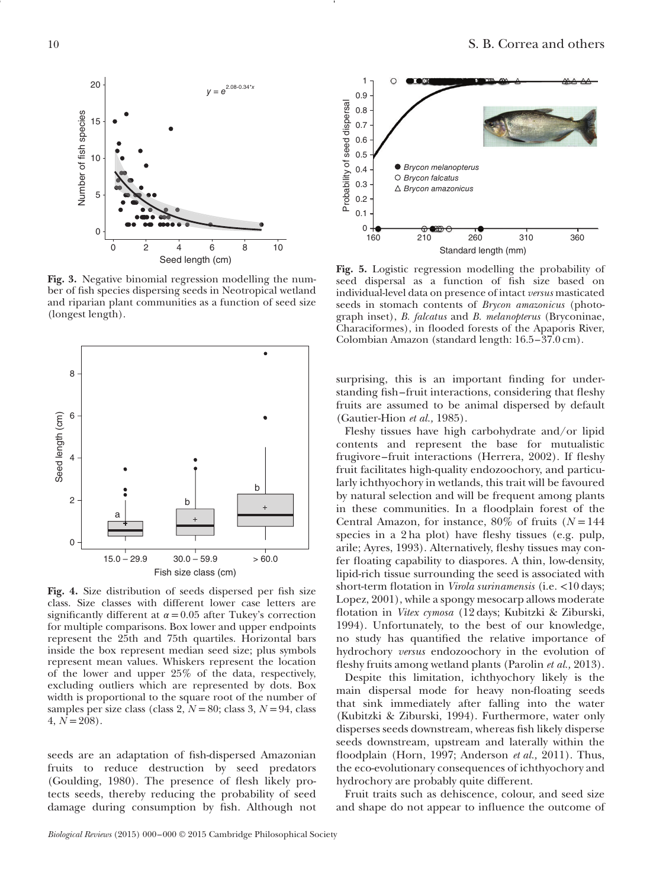

**Fig. 3.** Negative binomial regression modelling the number of fsh species dispersing seeds in Neotropical wetland and riparian plant communities as a function of seed size (longest length).



**Fig. 4.** Size distribution of seeds dispersed per fsh size class. Size classes with different lower case letters are significantly different at  $\alpha$  = 0.05 after Tukey's correction for multiple comparisons. Box lower and upper endpoints represent the 25th and 75th quartiles. Horizontal bars inside the box represent median seed size; plus symbols represent mean values. Whiskers represent the location of the lower and upper 25% of the data, respectively, excluding outliers which are represented by dots. Box width is proportional to the square root of the number of samples per size class (class 2,  $N = 80$ ; class 3,  $N = 94$ , class  $4, N = 208$ .

seeds are an adaptation of fsh-dispersed Amazonian fruits to reduce destruction by seed predators (Goulding, 1980). The presence of fesh likely protects seeds, thereby reducing the probability of seed damage during consumption by fsh. Although not



**Fig. 5.** Logistic regression modelling the probability of seed dispersal as a function of fsh size based on individual-level data on presence of intact *versus* masticated seeds in stomach contents of *Brycon amazonicus* (photograph inset), *B. falcatus* and *B. melanopterus* (Bryconinae, Characiformes), in fooded forests of the Apaporis River, Colombian Amazon (standard length: 16.5–37.0 cm).

surprising, this is an important fnding for understanding fish–fruit interactions, considering that fleshy fruits are assumed to be animal dispersed by default (Gautier-Hion *et al.,* 1985).

Fleshy tissues have high carbohydrate and/or lipid contents and represent the base for mutualistic frugivore–fruit interactions (Herrera, 2002). If fleshy fruit facilitates high-quality endozoochory, and particularly ichthyochory in wetlands, this trait will be favoured by natural selection and will be frequent among plants in these communities. In a floodplain forest of the Central Amazon, for instance,  $80\%$  of fruits ( $N = 144$ ) species in a 2 ha plot) have fleshy tissues (e.g. pulp, arile; Ayres, 1993). Alternatively, feshy tissues may confer foating capability to diaspores. A thin, low-density, lipid-rich tissue surrounding the seed is associated with short-term fotation in *Virola surinamensis* (i.e. *<*10 days; Lopez, 2001), while a spongy mesocarp allows moderate fotation in *Vitex cymosa* (12 days; Kubitzki & Ziburski, 1994). Unfortunately, to the best of our knowledge, no study has quantifed the relative importance of hydrochory *versus* endozoochory in the evolution of feshy fruits among wetland plants (Parolin *et al.,* 2013).

Despite this limitation, ichthyochory likely is the main dispersal mode for heavy non-foating seeds that sink immediately after falling into the water (Kubitzki & Ziburski, 1994). Furthermore, water only disperses seeds downstream, whereas fsh likely disperse seeds downstream, upstream and laterally within the floodplain (Horn, 1997; Anderson *et al.*, 2011). Thus, the eco-evolutionary consequences of ichthyochory and hydrochory are probably quite different.

Fruit traits such as dehiscence, colour, and seed size and shape do not appear to infuence the outcome of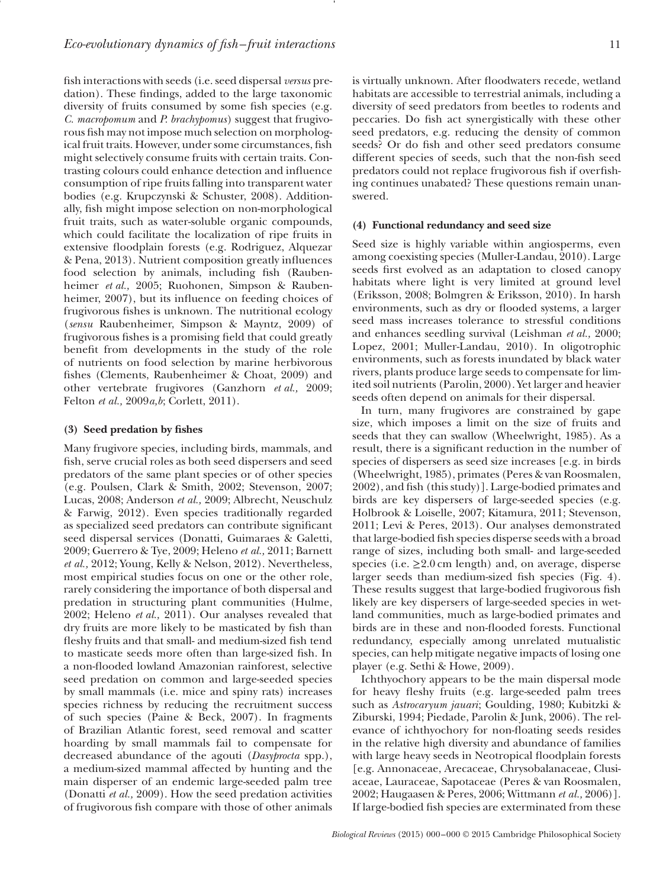fsh interactions with seeds (i.e. seed dispersal *versus* predation). These fndings, added to the large taxonomic diversity of fruits consumed by some fish species (e.g. *C. macropomum* and *P. brachypomus*) suggest that frugivorous fsh may not impose much selection on morphological fruit traits. However, under some circumstances, fsh might selectively consume fruits with certain traits. Contrasting colours could enhance detection and infuence consumption of ripe fruits falling into transparent water bodies (e.g. Krupczynski & Schuster, 2008). Additionally, fsh might impose selection on non-morphological fruit traits, such as water-soluble organic compounds, which could facilitate the localization of ripe fruits in extensive foodplain forests (e.g. Rodriguez, Alquezar & Pena, 2013). Nutrient composition greatly infuences food selection by animals, including fsh (Raubenheimer *et al.,* 2005; Ruohonen, Simpson & Raubenheimer, 2007), but its infuence on feeding choices of frugivorous fshes is unknown. The nutritional ecology (*sensu* Raubenheimer, Simpson & Mayntz, 2009) of frugivorous fshes is a promising feld that could greatly beneft from developments in the study of the role of nutrients on food selection by marine herbivorous fshes (Clements, Raubenheimer & Choat, 2009) and other vertebrate frugivores (Ganzhorn *et al.,* 2009; Felton *et al.,* 2009*a,b*; Corlett, 2011).

#### **(3) Seed predation by fshes**

Many frugivore species, including birds, mammals, and fsh, serve crucial roles as both seed dispersers and seed predators of the same plant species or of other species (e.g. Poulsen, Clark & Smith, 2002; Stevenson, 2007; Lucas, 2008; Anderson *et al.,* 2009; Albrecht, Neuschulz & Farwig, 2012). Even species traditionally regarded as specialized seed predators can contribute signifcant seed dispersal services (Donatti, Guimaraes & Galetti, 2009; Guerrero & Tye, 2009; Heleno *et al.,* 2011; Barnett *et al.,* 2012; Young, Kelly & Nelson, 2012). Nevertheless, most empirical studies focus on one or the other role, rarely considering the importance of both dispersal and predation in structuring plant communities (Hulme, 2002; Heleno *et al.,* 2011). Our analyses revealed that dry fruits are more likely to be masticated by fsh than fleshy fruits and that small- and medium-sized fish tend to masticate seeds more often than large-sized fsh. In a non-fooded lowland Amazonian rainforest, selective seed predation on common and large-seeded species by small mammals (i.e. mice and spiny rats) increases species richness by reducing the recruitment success of such species (Paine & Beck, 2007). In fragments of Brazilian Atlantic forest, seed removal and scatter hoarding by small mammals fail to compensate for decreased abundance of the agouti (*Dasyprocta* spp.), a medium-sized mammal affected by hunting and the main disperser of an endemic large-seeded palm tree (Donatti *et al.,* 2009). How the seed predation activities of frugivorous fsh compare with those of other animals

is virtually unknown. After floodwaters recede, wetland habitats are accessible to terrestrial animals, including a diversity of seed predators from beetles to rodents and peccaries. Do fsh act synergistically with these other seed predators, e.g. reducing the density of common seeds? Or do fsh and other seed predators consume different species of seeds, such that the non-fsh seed predators could not replace frugivorous fsh if overfshing continues unabated? These questions remain unanswered.

#### **(4) Functional redundancy and seed size**

Seed size is highly variable within angiosperms, even among coexisting species (Muller-Landau, 2010). Large seeds frst evolved as an adaptation to closed canopy habitats where light is very limited at ground level (Eriksson, 2008; Bolmgren & Eriksson, 2010). In harsh environments, such as dry or flooded systems, a larger seed mass increases tolerance to stressful conditions and enhances seedling survival (Leishman *et al.,* 2000; Lopez, 2001; Muller-Landau, 2010). In oligotrophic environments, such as forests inundated by black water rivers, plants produce large seeds to compensate for limited soil nutrients (Parolin, 2000). Yet larger and heavier seeds often depend on animals for their dispersal.

In turn, many frugivores are constrained by gape size, which imposes a limit on the size of fruits and seeds that they can swallow (Wheelwright, 1985). As a result, there is a signifcant reduction in the number of species of dispersers as seed size increases [e.g. in birds (Wheelwright, 1985), primates (Peres & van Roosmalen, 2002), and fsh (this study)]. Large-bodied primates and birds are key dispersers of large-seeded species (e.g. Holbrook & Loiselle, 2007; Kitamura, 2011; Stevenson, 2011; Levi & Peres, 2013). Our analyses demonstrated that large-bodied fsh species disperse seeds with a broad range of sizes, including both small- and large-seeded species (i.e.  $\geq 2.0$  cm length) and, on average, disperse larger seeds than medium-sized fsh species (Fig. 4). These results suggest that large-bodied frugivorous fsh likely are key dispersers of large-seeded species in wetland communities, much as large-bodied primates and birds are in these and non-fooded forests. Functional redundancy, especially among unrelated mutualistic species, can help mitigate negative impacts of losing one player (e.g. Sethi & Howe, 2009).

Ichthyochory appears to be the main dispersal mode for heavy fleshy fruits (e.g. large-seeded palm trees such as *Astrocaryum jauari*; Goulding, 1980; Kubitzki & Ziburski, 1994; Piedade, Parolin & Junk, 2006). The relevance of ichthyochory for non-foating seeds resides in the relative high diversity and abundance of families with large heavy seeds in Neotropical floodplain forests [e.g. Annonaceae, Arecaceae, Chrysobalanaceae, Clusiaceae, Lauraceae, Sapotaceae (Peres & van Roosmalen, 2002; Haugaasen & Peres, 2006; Wittmann *et al.,* 2006)]. If large-bodied fsh species are exterminated from these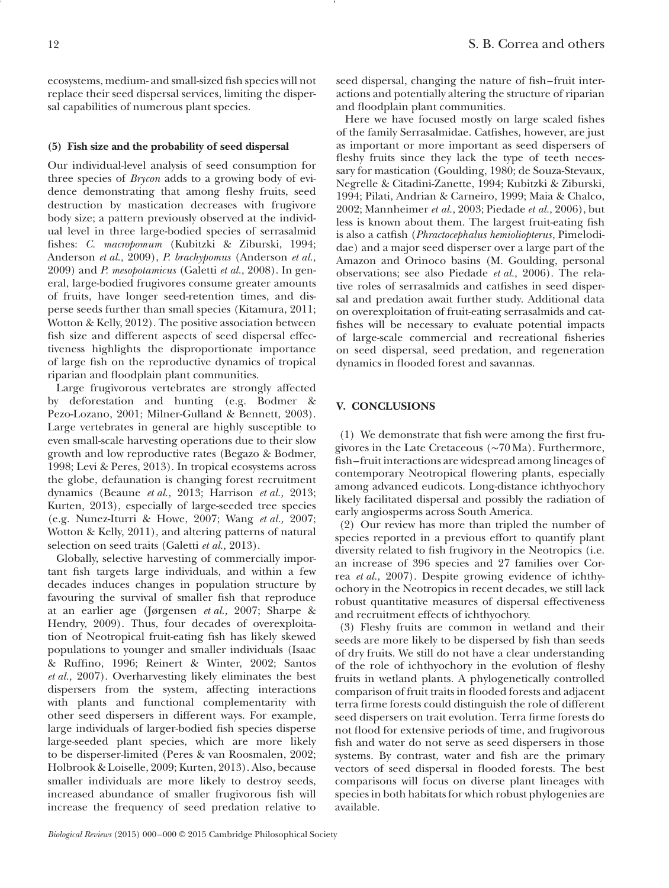ecosystems, medium- and small-sized fsh species will not replace their seed dispersal services, limiting the dispersal capabilities of numerous plant species.

# **(5) Fish size and the probability of seed dispersal**

Our individual-level analysis of seed consumption for three species of *Brycon* adds to a growing body of evidence demonstrating that among feshy fruits, seed destruction by mastication decreases with frugivore body size; a pattern previously observed at the individual level in three large-bodied species of serrasalmid fshes: *C. macropomum* (Kubitzki & Ziburski, 1994; Anderson *et al.,* 2009), *P. brachypomus* (Anderson *et al.,* 2009) and *P. mesopotamicus* (Galetti *et al.,* 2008). In general, large-bodied frugivores consume greater amounts of fruits, have longer seed-retention times, and disperse seeds further than small species (Kitamura, 2011; Wotton & Kelly, 2012). The positive association between fish size and different aspects of seed dispersal effectiveness highlights the disproportionate importance of large fsh on the reproductive dynamics of tropical riparian and foodplain plant communities.

Large frugivorous vertebrates are strongly affected by deforestation and hunting (e.g. Bodmer & Pezo-Lozano, 2001; Milner-Gulland & Bennett, 2003). Large vertebrates in general are highly susceptible to even small-scale harvesting operations due to their slow growth and low reproductive rates (Begazo & Bodmer, 1998; Levi & Peres, 2013). In tropical ecosystems across the globe, defaunation is changing forest recruitment dynamics (Beaune *et al.,* 2013; Harrison *et al.,* 2013; Kurten, 2013), especially of large-seeded tree species (e.g. Nunez-Iturri & Howe, 2007; Wang *et al.,* 2007; Wotton & Kelly, 2011), and altering patterns of natural selection on seed traits (Galetti *et al.,* 2013).

Globally, selective harvesting of commercially important fsh targets large individuals, and within a few decades induces changes in population structure by favouring the survival of smaller fsh that reproduce at an earlier age (Jørgensen *et al.,* 2007; Sharpe & Hendry, 2009). Thus, four decades of overexploitation of Neotropical fruit-eating fsh has likely skewed populations to younger and smaller individuals (Isaac & Ruffno, 1996; Reinert & Winter, 2002; Santos *et al.,* 2007). Overharvesting likely eliminates the best dispersers from the system, affecting interactions with plants and functional complementarity with other seed dispersers in different ways. For example, large individuals of larger-bodied fsh species disperse large-seeded plant species, which are more likely to be disperser-limited (Peres & van Roosmalen, 2002; Holbrook & Loiselle, 2009; Kurten, 2013). Also, because smaller individuals are more likely to destroy seeds, increased abundance of smaller frugivorous fsh will increase the frequency of seed predation relative to

seed dispersal, changing the nature of fish–fruit interactions and potentially altering the structure of riparian and foodplain plant communities.

Here we have focused mostly on large scaled fshes of the family Serrasalmidae. Catfshes, however, are just as important or more important as seed dispersers of fleshy fruits since they lack the type of teeth necessary for mastication (Goulding, 1980; de Souza-Stevaux, Negrelle & Citadini-Zanette, 1994; Kubitzki & Ziburski, 1994; Pilati, Andrian & Carneiro, 1999; Maia & Chalco, 2002; Mannheimer *et al.,* 2003; Piedade *et al.,* 2006), but less is known about them. The largest fruit-eating fsh is also a catfsh (*Phractocephalus hemioliopterus*, Pimelodidae) and a major seed disperser over a large part of the Amazon and Orinoco basins (M. Goulding, personal observations; see also Piedade *et al.,* 2006). The relative roles of serrasalmids and catfshes in seed dispersal and predation await further study. Additional data on overexploitation of fruit-eating serrasalmids and catfshes will be necessary to evaluate potential impacts of large-scale commercial and recreational fsheries on seed dispersal, seed predation, and regeneration dynamics in fooded forest and savannas.

# **V. CONCLUSIONS**

(1) We demonstrate that fsh were among the frst frugivores in the Late Cretaceous (∼70 Ma). Furthermore, fsh– fruit interactions are widespread among lineages of contemporary Neotropical fowering plants, especially among advanced eudicots. Long-distance ichthyochory likely facilitated dispersal and possibly the radiation of early angiosperms across South America.

(2) Our review has more than tripled the number of species reported in a previous effort to quantify plant diversity related to fsh frugivory in the Neotropics (i.e. an increase of 396 species and 27 families over Correa *et al.,* 2007). Despite growing evidence of ichthyochory in the Neotropics in recent decades, we still lack robust quantitative measures of dispersal effectiveness and recruitment effects of ichthyochory.

(3) Fleshy fruits are common in wetland and their seeds are more likely to be dispersed by fsh than seeds of dry fruits. We still do not have a clear understanding of the role of ichthyochory in the evolution of feshy fruits in wetland plants. A phylogenetically controlled comparison of fruit traits in fooded forests and adjacent terra frme forests could distinguish the role of different seed dispersers on trait evolution. Terra frme forests do not flood for extensive periods of time, and frugivorous fsh and water do not serve as seed dispersers in those systems. By contrast, water and fish are the primary vectors of seed dispersal in fooded forests. The best comparisons will focus on diverse plant lineages with species in both habitats for which robust phylogenies are available.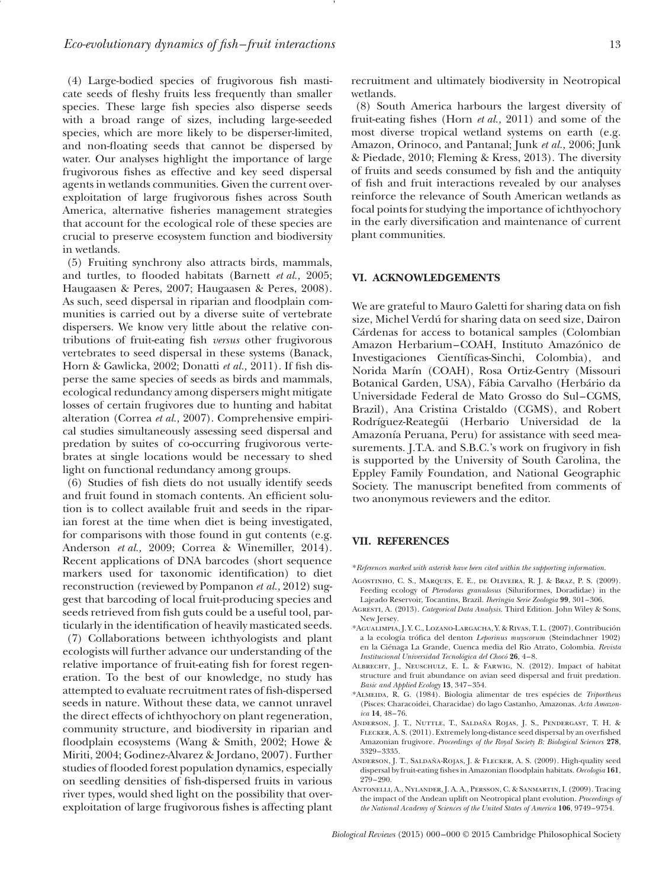(4) Large-bodied species of frugivorous fsh masticate seeds of feshy fruits less frequently than smaller species. These large fsh species also disperse seeds with a broad range of sizes, including large-seeded species, which are more likely to be disperser-limited, and non-foating seeds that cannot be dispersed by water. Our analyses highlight the importance of large frugivorous fshes as effective and key seed dispersal agents in wetlands communities. Given the current overexploitation of large frugivorous fshes across South America, alternative fsheries management strategies that account for the ecological role of these species are crucial to preserve ecosystem function and biodiversity in wetlands.

(5) Fruiting synchrony also attracts birds, mammals, and turtles, to flooded habitats (Barnett *et al.*, 2005; Haugaasen & Peres, 2007; Haugaasen & Peres, 2008). As such, seed dispersal in riparian and floodplain communities is carried out by a diverse suite of vertebrate dispersers. We know very little about the relative contributions of fruit-eating fsh *versus* other frugivorous vertebrates to seed dispersal in these systems (Banack, Horn & Gawlicka, 2002; Donatti *et al.,* 2011). If fsh disperse the same species of seeds as birds and mammals, ecological redundancy among dispersers might mitigate losses of certain frugivores due to hunting and habitat alteration (Correa *et al.,* 2007). Comprehensive empirical studies simultaneously assessing seed dispersal and predation by suites of co-occurring frugivorous vertebrates at single locations would be necessary to shed light on functional redundancy among groups.

(6) Studies of fsh diets do not usually identify seeds and fruit found in stomach contents. An efficient solution is to collect available fruit and seeds in the riparian forest at the time when diet is being investigated, for comparisons with those found in gut contents (e.g. Anderson *et al.,* 2009; Correa & Winemiller, 2014). Recent applications of DNA barcodes (short sequence markers used for taxonomic identifcation) to diet reconstruction (reviewed by Pompanon *et al.,* 2012) suggest that barcoding of local fruit-producing species and seeds retrieved from fsh guts could be a useful tool, particularly in the identifcation of heavily masticated seeds.

(7) Collaborations between ichthyologists and plant ecologists will further advance our understanding of the relative importance of fruit-eating fsh for forest regeneration. To the best of our knowledge, no study has attempted to evaluate recruitment rates of fsh-dispersed seeds in nature. Without these data, we cannot unravel the direct effects of ichthyochory on plant regeneration, community structure, and biodiversity in riparian and floodplain ecosystems (Wang & Smith, 2002; Howe & Miriti, 2004; Godinez-Alvarez & Jordano, 2007). Further studies of flooded forest population dynamics, especially on seedling densities of fsh-dispersed fruits in various river types, would shed light on the possibility that overexploitation of large frugivorous fshes is affecting plant

recruitment and ultimately biodiversity in Neotropical wetlands.

(8) South America harbours the largest diversity of fruit-eating fshes (Horn *et al.,* 2011) and some of the most diverse tropical wetland systems on earth (e.g. Amazon, Orinoco, and Pantanal; Junk *et al.,* 2006; Junk & Piedade, 2010; Fleming & Kress, 2013). The diversity of fruits and seeds consumed by fsh and the antiquity of fsh and fruit interactions revealed by our analyses reinforce the relevance of South American wetlands as focal points for studying the importance of ichthyochory in the early diversifcation and maintenance of current plant communities.

#### **VI. ACKNOWLEDGEMENTS**

We are grateful to Mauro Galetti for sharing data on fsh size, Michel Verdú for sharing data on seed size, Dairon Cárdenas for access to botanical samples (Colombian Amazon Herbarium–COAH, Instituto Amazónico de Investigaciones Científcas-Sinchi, Colombia), and Norida Marín (COAH), Rosa Ortiz-Gentry (Missouri Botanical Garden, USA), Fábia Carvalho (Herbário da Universidade Federal de Mato Grosso do Sul–CGMS, Brazil), Ana Cristina Cristaldo (CGMS), and Robert Rodríguez-Reategüi (Herbario Universidad de la Amazonía Peruana, Peru) for assistance with seed measurements. J.T.A. and S.B.C.'s work on frugivory in fsh is supported by the University of South Carolina, the Eppley Family Foundation, and National Geographic Society. The manuscript benefted from comments of two anonymous reviewers and the editor.

#### **VII. REFERENCES**

\**References marked with asterisk have been cited within the supporting information*.

- Agostinho, C. S., Marques, E. E., de Oliveira, R. J. & Braz, P. S. (2009). Feeding ecology of *Pterodoras granulosus* (Siluriformes, Doradidae) in the Lajeado Reservoir, Tocantins, Brazil. *Iheringia Serie Zoologia* **99**, 301–306.
- Agresti, A. (2013). *Categorical Data Analysis*. Third Edition. John Wiley & Sons, New Jersey.
- \*Agualimpia, J. Y. C., Lozano-Largacha, Y. & Rivas, T. L. (2007). Contribución a la ecología trófca del denton *Leporinus muyscorum* (Steindachner 1902) en la Ciénaga La Grande, Cuenca media del Rio Atrato, Colombia. *Revista Institucional Universidad Tecnológica del Chocó* **26**, 4–8.
- Albrecht, J., Neuschulz, E. L. & Farwig, N. (2012). Impact of habitat structure and fruit abundance on avian seed dispersal and fruit predation. *Basic and Applied Ecology* **13**, 347–354.
- \*Almeida, R. G. (1984). Biologia alimentar de tres espécies de *Triportheus* (Pisces: Characoidei, Characidae) do lago Castanho, Amazonas. *Acta Amazonica* **14**, 48–76.
- Anderson, J. T., Nuttle, T., Saldaña Rojas, J. S., Pendergast, T. H. & Flecker, A. S. (2011). Extremely long-distance seed dispersal by an overfshed Amazonian frugivore. *Proceedings of the Royal Society B: Biological Sciences* **278**, 3329–3335.
- Anderson, J. T., Saldaña-Rojas, J. & Flecker, A. S. (2009). High-quality seed dispersal by fruit-eating fshes in Amazonian foodplain habitats. *Oecologia* **161**, 279–290.
- Antonelli, A., Nylander, J. A. A., Persson, C. & Sanmartin, I. (2009). Tracing the impact of the Andean uplift on Neotropical plant evolution. *Proceedings of the National Academy of Sciences of the United States of America* **106**, 9749–9754.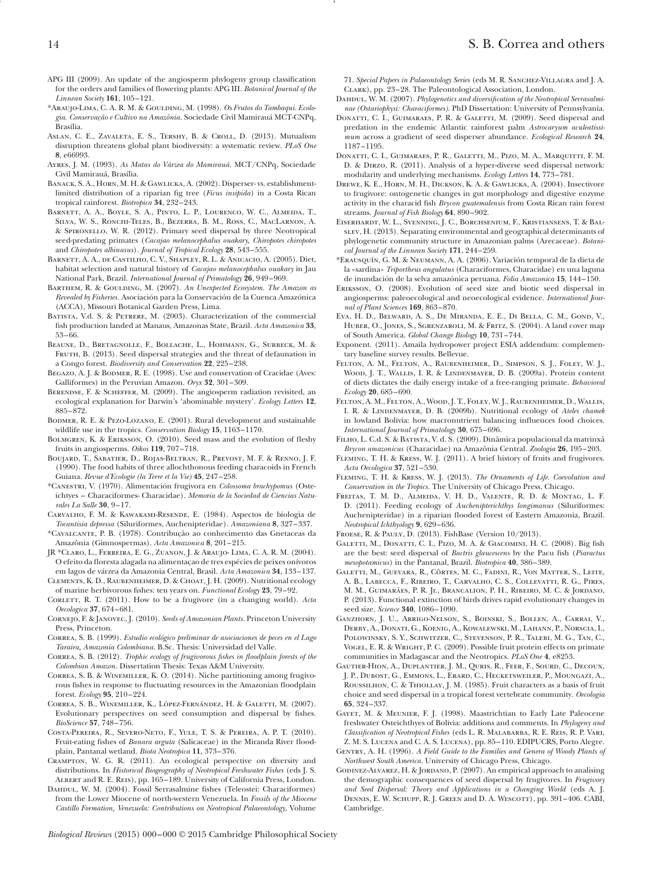- APG III (2009). An update of the angiosperm phylogeny group classifcation for the orders and families of fowering plants: APG III. *Botanical Journal of the Linnean Society* **161**, 105–121.
- \*Araujo-Lima, C. A. R. M. & Goulding, M. (1998). *Os Frutos do Tambaqui. Ecologia. Conservação e Cultivo na Amazônia*. Sociedade Civil Mamirauá MCT-CNPq, Brasília.
- Aslan, C. E., Zavaleta, E. S., Tershy, B. & Croll, D. (2013). Mutualism disruption threatens global plant biodiversity: a systematic review. *PLoS One* **8**, e66993.
- Ayres, J. M. (1993). *As Matas do Várzea do Mamirauá*. MCT/CNPq, Sociedade Civil Mamirauá, Brasília.
- BANACK, S. A., HORN, M. H. & GAWLICKA, A. (2002). Disperser-vs. establishmentlimited distribution of a riparian fg tree (*Ficus insipida*) in a Costa Rican tropical rainforest. *Biotropica* **34**, 232–243.
- Barnett, A. A., Boyle, S. A., Pinto, L. P., Lourenco, W. C., Almeida, T., Silva, W. S., Ronchi-Teles, B., Bezerra, B. M., Ross, C., MacLarnon, A. & Spironello, W. R. (2012). Primary seed dispersal by three Neotropical seed-predating primates (*Cacajao melanocephalus ouakary, Chiropotes chiropotes* and *Chiropotes albinasus*). *Journal of Tropical Ecology* **28**, 543–555.
- BARNETT, A. A., DE CASTILHO, C. V., SHAPLEY, R. L. & ANICACIO, A. (2005). Diet, habitat selection and natural history of *Cacajao melanocephalus ouakary* in Jau National Park, Brazil. *International Journal of Primatology* **26**, 949–969.
- Barthem, R. & Goulding, M. (2007). *An Unexpected Ecosystem. The Amazon as Revealed by Fisheries*. Asociación para la Conservación de la Cuenca Amazónica (ACCA), Missouri Botanical Garden Press, Lima.
- BATISTA, V.d. S. & PETRERE, M. (2003). Characterization of the commercial fsh production landed at Manaus, Amazonas State, Brazil. *Acta Amazonica* **33**, 53–66.
- Beaune, D., Bretagnolle, F., Bollache, L., Hohmann, G., Surbeck, M. & FRUTH, B. (2013). Seed dispersal strategies and the threat of defaunation in a Congo forest. *Biodiversity and Conservation* **22**, 225–238.
- BEGAZO, A. J. & BODMER, R. E. (1998). Use and conservation of Cracidae (Aves: Galliformes) in the Peruvian Amazon. *Oryx* **32**, 301–309.
- Berendse, F. & Scheffer, M. (2009). The angiosperm radiation revisited, an ecological explanation for Darwin's 'abominable mystery'. *Ecology Letters* **12**, 885–872.
- Bodmer, R. E. & Pezo-Lozano, E. (2001). Rural development and sustainable wildlife use in the tropics. *Conservation Biology* **15**, 1163–1170.
- BOLMGREN, K. & ERIKSSON, O. (2010). Seed mass and the evolution of fleshy fruits in angiosperms. *Oikos* **119**, 707–718.
- Boujard, T., Sabatier, D., Rojas-Beltran, R., Prevost, M. F. & Renno, J. F. (1990). The food habits of three allochthonous feeding characoids in French Guiana. *Revue d'Ecologie (la Terre et la Vie)* **45**, 247–258.
- \*Canestri, V. (1970). Alimentación frugivora en *Colossoma brachypomus* (Osteichtyes – Characiformes- Characidae). *Memoria de la Sociedad de Ciencias Naturales La Salle* **30**, 9–17.
- Carvalho, F. M. & Kawakami-Resende, E. (1984). Aspectos de biologia de *Tocantisia depressa* (Siluriformes, Auchenipteridae). *Amazoniana* **8**, 327–337.
- \*Cavalcante, P. B. (1978). Contribução ao conhecimento das Gnetaceas da Amazônia (Gimnospermas). *Acta Amazonica* **8**, 201–215.
- JR \*Claro, L., Ferreira, E. G., Zuanon, J. & Araujo- Lima, C. A. R. M. (2004). O efeito da foresta alagada na alimentaçao de tres espécies de peixes onívoros em lagos de várzea da Amazonia Central, Brasil. *Acta Amazonica* **34**, 133–137.
- Clements, K. D., Raubenheimer, D. & Choat, J. H. (2009). Nutritional ecology of marine herbivorous fshes: ten years on. *Functional Ecology* **23**, 79–92.
- CORLETT, R. T. (2011). How to be a frugivore (in a changing world). Acta *Oecologica* **37**, 674–681.
- Cornejo, F. & Janovec, J. (2010). *Seeds of Amazonian Plants*. Princeton University Press, Princeton.
- Correa, S. B. (1999). *Estudio ecológico preliminar de asociaciones de peces en el Lago Taraira, Amazonía Colombiana*. B.Sc. Thesis: Universidad del Valle.
- Correa, S. B. (2012). *Trophic ecology of frugivorous fshes in foodplain forests of the Colombian Amazon*. Dissertation Thesis: Texas A&M University.
- Correa, S. B. & Winemiller, K. O. (2014). Niche partitioning among frugivorous fshes in response to fuctuating resources in the Amazonian foodplain forest. *Ecology* **95**, 210–224.
- Correa, S. B., Winemiller, K., López-Fernández, H. & Galetti, M. (2007). Evolutionary perspectives on seed consumption and dispersal by fshes. *BioScience* **57**, 748–756.
- Costa-Pereira, R., Severo-Neto, F., Yule, T. S. & Pereira, A. P. T. (2010). Fruit-eating fshes of *Banara arguta* (Salicaceae) in the Miranda River foodplain, Pantanal wetland. *Biota Neotropica* **11**, 373–376.
- Crampton, W. G. R. (2011). An ecological perspective on diversity and distributions. In *Historical Biogeography of Neotropical Freshwater Fishes* (eds J. S. Albert and R. E. Reis), pp. 165–189. University of California Press, London.
- DAHDUL, W. M. (2004). Fossil Serrasalmine fishes (Teleostei: Characiformes) from the Lower Miocene of north-western Venezuela. In *Fossils of the Miocene Castillo Formation, Venezuela: Contributions on Neotropical Palaeontology*, Volume

71. *Special Papers in Palaeontology Series* (eds M. R. Sanchez-Villagra and J. A. Clark), pp. 23–28. The Paleontological Association, London.

- DAHDUL, W. M. (2007). *Phylogenetics and diversification of the Neotropical Serrasalminae (Ostariophysi: Characiformes)*. PhD Dissertation: University of Pennsylvania.
- DONATTI, C. I., GUIMARAES, P. R. & GALETTI, M. (2009). Seed dispersal and predation in the endemic Atlantic rainforest palm *Astrocaryum aculeatissimum* across a gradient of seed disperser abundance. *Ecological Research* **24**, 1187–1195.
- Donatti, C. I., Guimaraes, P. R., Galetti, M., Pizo, M. A., Marquitti, F. M. D. & Dirzo, R. (2011). Analysis of a hyper-diverse seed dispersal network: modularity and underlying mechanisms. *Ecology Letters* **14**, 773–781.
- Drewe, K. E., Horn, M. H., Dickson, K. A. & Gawlicka, A. (2004). Insectivore to frugivore: ontogenetic changes in gut morphology and digestive enzyme activity in the characid fsh *Brycon guatemalensis* from Costa Rican rain forest streams. *Journal of Fish Biology* **64**, 890–902.
- Eiserhardt, W. L., Svenning, J. C., Borchsenium, F., Kristiansens, T. & Balslev, H. (2013). Separating environmental and geographical determinants of phylogenetic community structure in Amazonian palms (Arecaceae). *Botanical Journal of the Linnean Society* **171**, 244–259.
- \*Erausquín, G. M. & Neumann, A. A. (2006). Variación temporal de la dieta de la «sardina» *Triportheus angulatus* (Characiformes, Characidae) en una laguna de inundación de la selva amazónica peruana. *Folia Amazonica* **15**, 144–150.
- Eriksson, O. (2008). Evolution of seed size and biotic seed dispersal in angiosperms: paleoecological and neoecological evidence. *International Journal of Plant Sciences* **169**, 863–870.
- Eva, H. D., Belward, A. S., De Miranda, E. E., Di Bella, C. M., Gond, V., HUBER, O., JONES, S., SGRENZAROLI, M. & FRITZ, S. (2004). A land cover map of South America. *Global Change Biology* **10**, 731–744.
- Exponent. (2011). Amaila hydropower project ESIA addendum: complementary baseline survey results. Bellevue.
- Felton, A. M., Felton, A., Raubenheimer, D., Simpson, S. J., Foley, W. J., Wood, J. T., Wallis, I. R. & Lindenmayer, D. B. (2009a). Protein content of diets dictates the daily energy intake of a free-ranging primate. *Behavioral Ecology* **20**, 685–690.
- Felton, A. M., Felton, A., Wood, J. T., Foley, W. J., Raubenheimer, D., Wallis, I. R. & Lindenmayer, D. B. (2009b). Nutritional ecology of *Ateles chamek* in lowland Bolivia: how macronutrient balancing infuences food choices. *International Journal of Primatology* **30**, 675–696.
- Filho, L. C.d. S. & Batista, V. d. S. (2009). Dinâmica populacional da matrinxã *Brycon amazonicus* (Characidae) na Amazônia Central. *Zoologia* **26**, 195–203.
- Fleming, T. H. & Kress, W. J. (2011). A brief history of fruits and frugivores. *Acta Oecologica* **37**, 521–530.
- Fleming, T. H. & Kress, W. J. (2013). *The Ornaments of Life. Coevolution and Conservation in the Tropics*. The University of Chicago Press, Chicago.
- Freitas, T. M. D., Almeida, V. H. D., Valente, R. D. & Montag, L. F. D. (2011). Feeding ecology of *Auchenipterichthys longimanus* (Siluriformes: Auchenipteridae) in a riparian fooded forest of Eastern Amazonia, Brazil. *Neotropical Ichthyology* **9**, 629–636.
- Froese, R. & Pauly, D. (2013). FishBase (Version 10/2013).
- Galetti, M., Donatti, C. I., Pizo, M. A. & Giacomini, H. C. (2008). Big fsh are the best: seed dispersal of *Bactris glaucescens* by the Pacu fsh (*Piaractus mesopotamicus*) in the Pantanal, Brazil. *Biotropica* **40**, 386–389.
- Galetti, M., Guevara, R., Côrtes, M. C., Fadini, R., Von Matter, S., Leite, A. B., Labecca, F., Ribeiro, T., Carvalho, C. S., Collevatti, R. G., Pires, M. M., Guimarães, P. R. Jr., Brancalion, P. H., Ribeiro, M. C. & Jordano, P. (2013). Functional extinction of birds drives rapid evolutionary changes in seed size. *Science* **340**, 1086–1090.
- Ganzhorn, J. U., Arrigo-Nelson, S., Boinski, S., Bollen, A., Carrai, V., Derby, A., Donati, G., Koenig, A., Kowalewski, M., Lahann, P., Norscia, I., Polowinsky, S. Y., Schwitzer, C., Stevenson, P. R., Talebi, M. G., Tan, C., Vogel, E. R. & Wright, P. C. (2009). Possible fruit protein effects on primate communities in Madagascar and the Neotropics. *PLoS One* **4**, e8253.
- Gautier-Hion, A., Duplantier, J. M., Quris, R., Feer, F., Sourd, C., Decoux, J. P., Dubost, G., Emmons, L., Erard, C., Hecketsweiler, P., Moungazi, A., Roussilhon, C. & Thiollay, J. M. (1985). Fruit characters as a basis of fruit choice and seed dispersal in a tropical forest vertebrate community. *Oecologia* **65**, 324–337.
- Gayet, M. & Meunier, F. J. (1998). Maastrichtian to Early Late Paleocene freshwater Osteichthyes of Bolivia: additions and comments. In *Phylogeny and Classifcation of Neotropical Fishes* (eds L. R. Malabarba, R. E. Reis, R. P. Vari, Z. M. S. Lucena and C. A. S. Lucena), pp. 85–110. EDIPUCRS, Porto Alegre.
- GENTRY, A. H. (1996). *A Field Guide to the Families and Genera of Woody Plants of Northwest South America*. University of Chicago Press, Chicago.
- GODINEZ-ALVAREZ, H. & JORDANO, P. (2007). An empirical approach to analising the demographic consequences of seed dispersal by frugivores. In *Frugivory and Seed Dispersal: Theory and Applications in a Changing World* (eds A. J. DENNIS, E. W. SCHUPP, R. J. GREEN and D. A. WESCOTT), pp. 391-406. CABI, Cambridge.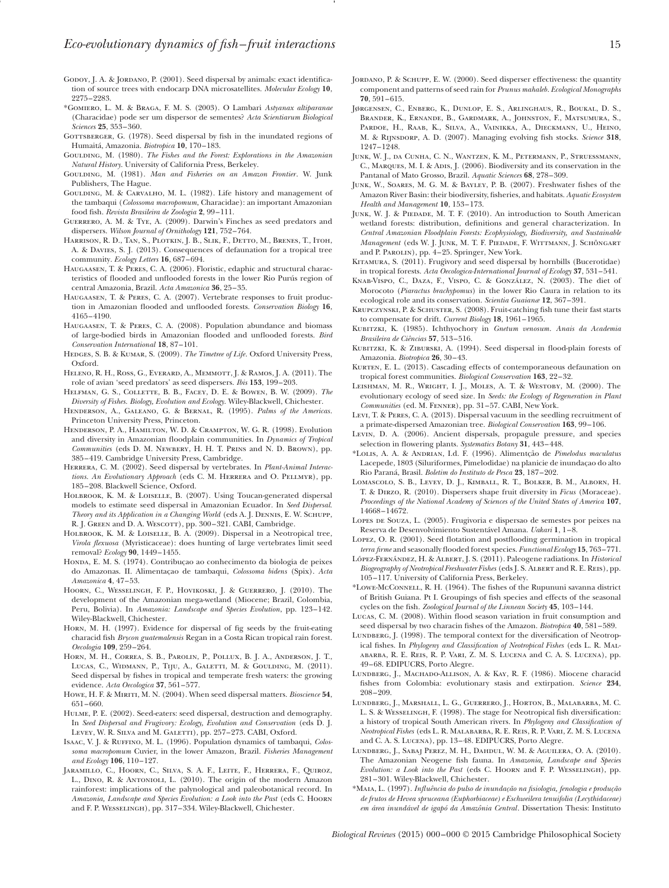- GODOY, J. A. & JORDANO, P. (2001). Seed dispersal by animals: exact identification of source trees with endocarp DNA microsatellites. *Molecular Ecology* **10**, 2275–2283.
- \*Gomiero, L. M. & Braga, F. M. S. (2003). O Lambari *Astyanax altiparanae* (Characidae) pode ser um dispersor de sementes? *Acta Scientiarum Biological Sciences* **25**, 353–360.
- GOTTSBERGER, G. (1978). Seed dispersal by fish in the inundated regions of Humaitá, Amazonia. *Biotropica* **10**, 170–183.
- GOULDING, M. (1980). *The Fishes and the Forest: Explorations in the Amazonian Natural History*. University of California Press, Berkeley.
- GOULDING, M. (1981). *Man and Fisheries on an Amazon Frontier*. W. Junk Publishers, The Hague.
- GOULDING, M. & CARVALHO, M. L. (1982). Life history and management of the tambaqui (*Colossoma macropomum*, Characidae): an important Amazonian food fsh. *Revista Brasileira de Zoologia* **2**, 99–111.
- Guerrero, A. M. & Tye, A. (2009). Darwin's Finches as seed predators and dispersers. *Wilson Journal of Ornithology* **121**, 752–764.
- Harrison, R. D., Tan, S., Plotkin, J. B., Slik, F., Detto, M., Brenes, T., Itoh, A. & Davies, S. J. (2013). Consequences of defaunation for a tropical tree community. *Ecology Letters* **16**, 687–694.
- Haugaasen, T. & Peres, C. A. (2006). Floristic, edaphic and structural characteristics of fooded and unfooded forests in the lower Rio Purús region of central Amazonia, Brazil. *Acta Amazonica* **36**, 25–35.
- Haugaasen, T. & Peres, C. A. (2007). Vertebrate responses to fruit production in Amazonian fooded and unfooded forests. *Conservation Biology* **16**, 4165–4190.
- Haugaasen, T. & Peres, C. A. (2008). Population abundance and biomass of large-bodied birds in Amazonian fooded and unfooded forests. *Bird Conservation International* **18**, 87–101.
- Hedges, S. B. & Kumar, S. (2009). *The Timetree of Life*. Oxford University Press, Oxford.
- Heleno, R. H., Ross, G., Everard, A., Memmott, J. & Ramos, J. A. (2011). The role of avian 'seed predators' as seed dispersers. *Ibis* **153**, 199–203.
- Helfman, G. S., Collette, B. B., Facey, D. E. & Bowen, B. W. (2009). *The Diversity of Fishes. Biology, Evolution and Ecology*. Wiley-Blackwell, Chichester.
- Henderson, A., Galeano, G. & Bernal, R. (1995). *Palms of the Americas*. Princeton University Press, Princeton.
- Henderson, P. A., Hamilton, W. D. & Crampton, W. G. R. (1998). Evolution and diversity in Amazonian foodplain communities. In *Dynamics of Tropical Communities* (eds D. M. Newbery, H. H. T. Prins and N. D. Brown), pp. 385–419. Cambridge University Press, Cambridge.
- Herrera, C. M. (2002). Seed dispersal by vertebrates. In *Plant-Animal Interac*tions. An Evolutionary Approach (eds C. M. HERRERA and O. PELLMYR), pp. 185–208. Blackwell Science, Oxford.
- HOLBROOK, K. M. & LOISELLE, B. (2007). Using Toucan-generated dispersal models to estimate seed dispersal in Amazonian Ecuador. In *Seed Dispersal. Theory and its Application in a Changing World* (eds A. J. Dennis, E. W. Schupp, R. J. GREEN and D. A. WESCOTT), pp. 300-321. CABI, Cambridge.
- HOLBROOK, K. M. & LOISELLE, B. A. (2009). Dispersal in a Neotropical tree, *Virola fexuosa* (Myristicaceae): does hunting of large vertebrates limit seed removal? *Ecology* **90**, 1449–1455.
- Honda, E. M. S. (1974). Contribuçao ao conhecimento da biologia de peixes do Amazonas. II. Alimentaçao de tambaqui, *Colossoma bidens* (Spix). *Acta Amazonica* **4**, 47–53.
- Hoorn, C., Wesselingh, F. P., Hovikoski, J. & Guerrero, J. (2010). The development of the Amazonian mega-wetland (Miocene; Brazil, Colombia, Peru, Bolivia). In *Amazonia: Landscape and Species Evolution*, pp. 123–142. Wiley-Blackwell, Chichester.
- Horn, M. H. (1997). Evidence for dispersal of fg seeds by the fruit-eating characid fsh *Brycon guatemalensis* Regan in a Costa Rican tropical rain forest. *Oecologia* **109**, 259–264.
- Horn, M. H., Correa, S. B., Parolin, P., Pollux, B. J. A., Anderson, J. T., LUCAS, C., WIDMANN, P., TIJU, A., GALETTI, M. & GOULDING, M. (2011). Seed dispersal by fshes in tropical and temperate fresh waters: the growing evidence. *Acta Oecologica* **37**, 561–577.
- Howe, H. F. & Miriti, M. N. (2004). When seed dispersal matters. *Bioscience* **54**, 651–660.
- Hulme, P. E. (2002). Seed-eaters: seed dispersal, destruction and demography. In *Seed Dispersal and Frugivory: Ecology, Evolution and Conservation* (eds D. J. LEVEY, W. R. SILVA and M. GALETTI), pp. 257-273. CABI, Oxford.
- Isaac, V. J. & Ruffino, M. L. (1996). Population dynamics of tambaqui, *Colossoma macropomum* Cuvier, in the lower Amazon, Brazil. *Fisheries Management and Ecology* **106**, 110–127.
- Jaramillo, C., Hoorn, C., Silva, S. A. F., Leite, F., Herrera, F., Quiroz, L., Dino, R. & Antonioli, L. (2010). The origin of the modern Amazon rainforest: implications of the palynological and paleobotanical record. In *Amazonia, Landscape and Species Evolution: a Look into the Past* (eds C. Hoorn and F. P. Wesselingh), pp. 317–334. Wiley-Blackwell, Chichester.
- JORDANO, P. & SCHUPP, E. W. (2000). Seed disperser effectiveness: the quantity component and patterns of seed rain for *Prunus mahaleb*. *Ecological Monographs* **70**, 591–615.
- Jørgensen, C., Enberg, K., Dunlop, E. S., Arlinghaus, R., Boukal, D. S., Brander, K., Ernande, B., Gardmark, A., Johnston, F., Matsumura, S., PARDOE, H., RAAB, K., SILVA, A., VAINIKKA, A., DIECKMANN, U., HEINO, M. & Rijnsdorp, A. D. (2007). Managing evolving fsh stocks. *Science* **318**, 1247–1248.
- JUNK, W. J., DA CUNHA, C. N., WANTZEN, K. M., PETERMANN, P., STRUESSMANN, C., MARQUES, M. I. & ADIS, J. (2006). Biodiversity and its conservation in the Pantanal of Mato Grosso, Brazil. *Aquatic Sciences* **68**, 278–309.
- Junk, W., Soares, M. G. M. & Bayley, P. B. (2007). Freshwater fshes of the Amazon River Basin: their biodiversity, fsheries, and habitats. *Aquatic Ecosystem Health and Management* **10**, 153–173.
- Junk, W. J. & Piedade, M. T. F. (2010). An introduction to South American wetland forests: distribution, defnitions and general characterization. In *Central Amazonian Floodplain Forests: Ecophysiology, Biodiversity, and Sustainable Management* (eds W. J. Junk, M. T. F. Piedade, F. Wittmann, J. Schöngart and P. PAROLIN), pp. 4-25. Springer, New York.
- KITAMURA, S. (2011). Frugivory and seed dispersal by hornbills (Bucerotidae) in tropical forests. *Acta Oecologica-International Journal of Ecology* **37**, 531–541.
- Knab-Vispo, C., Daza, F., Vispo, C. & González, N. (2003). The diet of Morocoto (*Piaractus brachypomus*) in the lower Rio Caura in relation to its ecological role and its conservation. *Scientia Guaianæ* **12**, 367–391.
- KRUPCZYNSKI, P. & SCHUSTER, S. (2008). Fruit-catching fish tune their fast starts to compensate for drift. *Current Biology* **18**, 1961–1965.
- Kubitzki, K. (1985). Ichthyochory in *Gnetum venosum*. *Anais da Academia Brasileira de Ciências* **57**, 513–516.
- KUBITZKI, K. & ZIBURSKI, A. (1994). Seed dispersal in flood-plain forests of Amazonia. *Biotropica* **26**, 30–43.
- KURTEN, E. L. (2013). Cascading effects of contemporaneous defaunation on tropical forest communities. *Biological Conservation* **163**, 22–32.
- Leishman, M. R., Wright, I. J., Moles, A. T. & Westoby, M. (2000). The evolutionary ecology of seed size. In *Seeds: the Ecology of Regeneration in Plant Communities* (ed. M. Fenner), pp. 31–57. CABI, New York.
- Levi, T. & Peres, C. A. (2013). Dispersal vacuum in the seedling recruitment of a primate-dispersed Amazonian tree. *Biological Conservation* **163**, 99–106.
- Levin, D. A. (2006). Ancient dispersals, propagule pressure, and species selection in fowering plants. *Systematics Botany* **31**, 443–448.
- \*Lolis, A. A. & Andrian, I.d. F. (1996). Alimentção de *Pimelodus maculatus* Lacepede, 1803 (Siluriformes, Pimelodidae) na planicie de inundaçao do alto Rio Paraná, Brasil. *Boletim do Instituto de Pesca* **23**, 187–202.
- Lomascolo, S. B., Levey, D. J., Kimball, R. T., Bolker, B. M., Alborn, H. T. & Dirzo, R. (2010). Dispersers shape fruit diversity in *Ficus* (Moraceae). *Proceedings of the National Academy of Sciences of the United States of America* **107**, 14668–14672.
- Lopes de Souza, L. (2005). Frugivoria e dispersao de semestes por peixes na Reserva de Desenvolvimiento Sustentável Amana. *Uakari* **1**, 1–8.
- LOPEZ, O. R. (2001). Seed flotation and postflooding germination in tropical *terra frme* and seasonally fooded forest species. *Functional Ecology* **15**, 763–771.
- López-Fernández, H. & Albert, J. S. (2011). Paleogene radiations. In *Historical Biogeography of Neotropical Freshwater Fishes* (eds J. S. Albert and R. E. Reis), pp. 105–117. University of California Press, Berkeley.
- \*Lowe-McConnell, R. H. (1964). The fshes of the Rupununi savanna district of British Guiana. Pt I. Groupings of fsh species and effects of the seasonal cycles on the fsh. *Zoological Journal of the Linnean Society* **45**, 103–144.
- Lucas, C. M. (2008). Within food season variation in fruit consumption and seed dispersal by two characin fshes of the Amazon. *Biotropica* **40**, 581–589.
- LUNDBERG, J. (1998). The temporal context for the diversification of Neotropical fshes. In *Phylogeny and Classifcation of Neotropical Fishes* (eds L. R. Malabarba, R. E. Reis, R. P. Vari, Z. M. S. Lucena and C. A. S. Lucena), pp. 49–68. EDIPUCRS, Porto Alegre.
- Lundberg, J., Machado-Allison, A. & Kay, R. F. (1986). Miocene characid fshes from Colombia: evolutionary stasis and extirpation. *Science* **234**, 208–209.
- Lundberg, J., Marshall, L. G., Guerrero, J., Horton, B., Malabarba, M. C. L. S. & Wesselingh, F. (1998). The stage for Neotropical fsh diversifcation: a history of tropical South American rivers. In *Phylogeny and Classifcation of Neotropical Fishes* (eds L. R. Malabarba, R. E. Reis, R. P. Vari, Z. M. S. Lucena and C. A. S. Lucena), pp. 13–48. EDIPUCRS, Porto Alegre.
- LUNDBERG, J., SABAJ PEREZ, M. H., DAHDUL, W. M. & AGUILERA, O. A. (2010). The Amazonian Neogene fsh fauna. In *Amazonia, Landscape and Species Evolution: a Look into the Past* (eds C. Hoorn and F. P. Wesselingh), pp. 281–301. Wiley-Blackwell, Chichester.
- \*Maia, L. (1997). *Infuência do pulso de inundação na fsiologia, fenologia e produção de frutos de Hevea spruceana (Euphorbiaceae) e Eschweilera tenuifolia (Lecythidaceae) em área inundável de igapó da Amazônia Central*. Dissertation Thesis: Instituto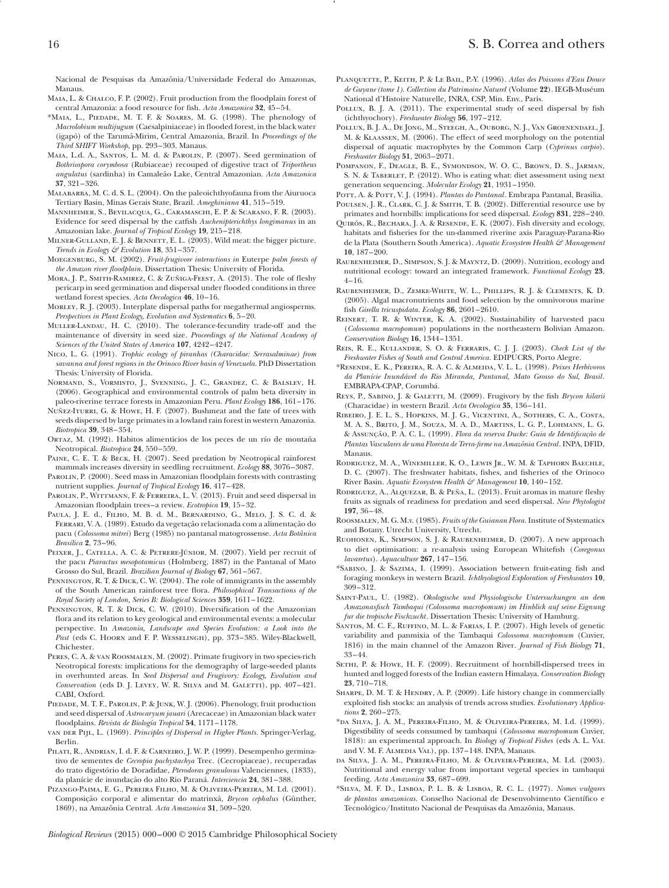Nacional de Pesquisas da Amazônia/Universidade Federal do Amazonas, Manaus.

- MAIA, L. & CHALCO, F. P. (2002). Fruit production from the floodplain forest of central Amazonia: a food resource for fsh. *Acta Amazonica* **32**, 45–54.
- \*Maia, L., Piedade, M. T. F. & Soares, M. G. (1998). The phenology of *Macrolobium multijugum* (Caesalpiniaceae) in fooded forest, in the black water (igapó) of the Tarumã-Mirim, Central Amazonia, Brazil. In *Proceedings of the Third SHIFT Workshop*, pp. 293–303. Manaus.
- Maia, L.d. A., Santos, L. M. d. & Parolin, P. (2007). Seed germination of *Bothriospora corymbosa* (Rubiaceae) recouped of digestive tract of *Triportheus angulatus* (sardinha) in Camaleão Lake, Central Amazonian. *Acta Amazonica* **37**, 321–326.
- Malabarba, M. C. d. S. L. (2004). On the paleoichthyofauna from the Aiuruoca Tertiary Basin, Minas Gerais State, Brazil. *Ameghiniana* **41**, 515–519.
- Mannheimer, S., Bevilacqua, G., Caramaschi, E. P. & Scarano, F. R. (2003). Evidence for seed dispersal by the catfsh *Auchenipterichthys longimanus* in an Amazonian lake. *Journal of Tropical Ecology* **19**, 215–218.
- MILNER-GULLAND, E. J. & BENNETT, E. L. (2003). Wild meat: the bigger picture. *Trends in Ecology & Evolution* **18**, 351–357.
- Moegenburg, S. M. (2002). *Fruit-frugivore interactions in* Euterpe *palm forests of the Amazon river foodplain*. Dissertation Thesis: University of Florida.
- MORA, J. P., SMITH-RAMIREZ, C. & ZUÑIGA-FEEST, A. (2013). The role of fleshy pericarp in seed germination and dispersal under fooded conditions in three wetland forest species. *Acta Oecologica* **46**, 10–16.
- Morley, R. J. (2003). Interplate dispersal paths for megathermal angiosperms. *Perspectives in Plant Ecology, Evolution and Systematics* **6**, 5–20.
- Muller-Landau, H. C. (2010). The tolerance-fecundity trade-off and the maintenance of diversity in seed size. *Proceedings of the National Academy of Sciences of the United States of America* **107**, 4242–4247.
- Nico, L. G. (1991). *Trophic ecology of piranhas (Characidae: Serrasalminae) from savanna and forest regions in the Orinoco River basin of Venezuela*. PhD Dissertation Thesis: University of Florida.
- Normand, S., Vormisto, J., Svenning, J. C., Grandez, C. & Balslev, H. (2006). Geographical and environmental controls of palm beta diversity in paleo-riverine terrace forests in Amazonian Peru. *Plant Ecology* **186**, 161–176.
- Nuñez-Iturri, G. & Howe, H. F. (2007). Bushmeat and the fate of trees with seeds dispersed by large primates in a lowland rain forest in western Amazonia. *Biotropica* **39**, 348–354.
- Ortaz, M. (1992). Habitos alimenticios de los peces de un río de montaña Neotropical. *Biotropica* **24**, 550–559.
- PAINE, C. E. T. & BECK, H. (2007). Seed predation by Neotropical rainforest mammals increases diversity in seedling recruitment. *Ecology* **88**, 3076–3087.
- PAROLIN, P. (2000). Seed mass in Amazonian floodplain forests with contrasting nutrient supplies. *Journal of Tropical Ecology* **16**, 417–428.
- PAROLIN, P., WITTMANN, F. & FERREIRA, L. V. (2013). Fruit and seed dispersal in Amazonian foodplain trees–a review. *Ecotropica* **19**, 15–32.
- Paula, J. E. d., Filho, M. B. d. M., Bernardino, G., Melo, J. S. C. d. & Ferrari, V. A. (1989). Estudo da vegetação relacionada com a alimentação do pacu (*Colossoma mitrei*) Berg (1985) no pantanal matogrossense. *Acta Botânica Brasílica* **2**, 73–96.
- PEIXER, J., CATELLA, A. C. & PETRERE-JÚNIOR, M. (2007). Yield per recruit of the pacu *Piaractus mesopotamicus* (Holmberg, 1887) in the Pantanal of Mato Grosso do Sul, Brazil. *Brazilian Journal of Biology* **67**, 561–567.
- PENNINGTON, R. T. & DICK, C. W. (2004). The role of immigrants in the assembly of the South American rainforest tree fora. *Philosophical Transactions of the Royal Society of London, Series B: Biological Sciences* **359**, 1611–1622.
- PENNINGTON, R. T. & DICK, C. W. (2010). Diversification of the Amazonian fora and its relation to key geological and environmental events: a molecular perspective. In *Amazonia, Landscape and Species Evolution: a Look into the* Past (eds C. HOORN and F. P. WESSELINGH), pp. 373-385. Wiley-Blackwell, Chichester.
- Peres, C. A. & van Roosmalen, M. (2002). Primate frugivory in two species-rich Neotropical forests: implications for the demography of large-seeded plants in overhunted areas. In *Seed Dispersal and Frugivory: Ecology, Evolution and Conservation* (eds D. J. LEVEY, W. R. SILVA and M. GALETTI), pp. 407-421. CABI, Oxford.
- PIEDADE, M. T. F., PAROLIN, P. & JUNK, W. J. (2006). Phenology, fruit production and seed dispersal of *Astrocaryum jauari* (Arecaceae) in Amazonian black water foodplains. *Revista de Biología Tropical* **54**, 1171–1178.
- van der Pijl, L. (1969). *Principles of Dispersal in Higher Plants*. Springer-Verlag, Berlin.
- PILATI, R., ANDRIAN, I. d. F. & CARNEIRO, J. W. P. (1999). Desempenho germinativo de sementes de *Cecropia pachystachya* Trec. (Cecropiaceae), recuperadas do trato digestório de Doradidae, *Pterodoras granulosus* Valenciennes, (1833), da planície de inundação do alto Rio Paraná. *Interciencia* **24**, 381–388.
- Pizango-Paima, E. G., Pereira Filho, M. & Oliveira-Pereira, M. I.d. (2001). Composição corporal e alimentar do matrinxã, *Brycon cephalus* (Günther, 1869), na Amazônia Central. *Acta Amazonica* **31**, 509–520.
- Planquette, P., Keith, P. & Le Bail, P.-Y. (1996). *Atlas des Poissons d'Eau Douce de Guyane (tome 1). Collection du Patrimoine Naturel* (Volume **22**). IEGB-Muséum National d'Histoire Naturelle*,* INRA, CSP, Min. Env., Paris.
- POLLUX, B. J. A. (2011). The experimental study of seed dispersal by fish (ichthyochory). *Freshwater Biology* **56**, 197–212.
- Pollux, B. J. A., De Jong, M., Steegh, A., Ouborg, N. J., Van Groenendael, J. M. & Klaassen, M. (2006). The effect of seed morphology on the potential dispersal of aquatic macrophytes by the Common Carp (*Cyprinus carpio*). *Freshwater Biology* **51**, 2063–2071.
- POMPANON, F., DEAGLE, B. E., SYMONDSON, W. O. C., BROWN, D. S., JARMAN, S. N. & Taberlet, P. (2012). Who is eating what: diet assessment using next generation sequencing. *Molecular Ecology* **21**, 1931–1950.
- POTT, A. & POTT, V. J. (1994). *Plantas do Pantanal*. Embrapa Pantanal, Brasilia. POULSEN, J. R., CLARK, C. J. & SMITH, T. B. (2002). Differential resource use by
- primates and hornbills: implications for seed dispersal. *Ecology* **831**, 228–240.
- Quirós, R., Bechara, J. A. & Resende, E. K. (2007). Fish diversity and ecology, habitats and fsheries for the un-dammed riverine axis Paraguay-Parana-Rio de la Plata (Southern South America). *Aquatic Ecosystem Health & Management* **10**, 187–200.
- Raubenheimer, D., Simpson, S. J. & Mayntz, D. (2009). Nutrition, ecology and nutritional ecology: toward an integrated framework. *Functional Ecology* **23**, 4–16.
- Raubenheimer, D., Zemke-White, W. L., Phillips, R. J. & Clements, K. D. (2005). Algal macronutrients and food selection by the omnivorous marine fsh *Girella tricuspidata*. *Ecology* **86**, 2601–2610.
- Reinert, T. R. & Winter, K. A. (2002). Sustainability of harvested pacu (*Colossoma macropomum*) populations in the northeastern Bolivian Amazon. *Conservation Biology* **16**, 1344–1351.
- Reis, R. E., Kullander, S. O. & Ferraris, C. J. J. (2003). *Check List of the Freshwater Fishes of South and Central America*. EDIPUCRS, Porto Alegre.
- \*Resende, E. K., Pereira, R. A. C. & Almeida, V. L. L. (1998). *Peixes Herbívoros da Planície Inundável do Rio Miranda, Pantanal, Mato Grosso do Sul, Brasil*. EMBRAPA-CPAP, Corumbá.
- Reys, P., Sabino, J. & Galetti, M. (2009). Frugivory by the fsh *Brycon hilarii* (Characidae) in western Brazil. *Acta Oecologica* **35**, 136–141.
- Ribeiro, J. E. L. S., Hopkins, M. J. G., Vicentini, A., Sothers, C. A., Costa, M. A. S., Brito, J. M., Souza, M. A. D., Martins, L. G. P., Lohmann, L. G. & Assunção, P. A. C. L. (1999). *Flora da reserva Ducke: Guia de Identifcação de Plantas Vasculares de uma Floresta de Terra-frme na Amazônia Central*. INPA, DFID, Manaus.
- Rodriguez, M. A., Winemiller, K. O., Lewis Jr., W. M. & Taphorn Baechle, D. C. (2007). The freshwater habitats, fshes, and fsheries of the Orinoco River Basin. *Aquatic Ecosystem Health & Management* **10**, 140–152.
- Rodriguez, A., Alquezar, B. & Peña, L. (2013). Fruit aromas in mature feshy fruits as signals of readiness for predation and seed dispersal. *New Phytologist* **197**, 36–48.
- Roosmalen, M. G. M.v. (1985). *Fruits of the Guianan Flora*. Institute of Systematics and Botany. Utrecht University, Utrecht.
- Ruohonen, K., Simpson, S. J. & Raubenheimer, D. (2007). A new approach to diet optimisation: a re-analysis using European Whitefsh (*Coregonus lavaretus*). *Aquaculture* **267**, 147–156.
- \*Sabino, J. & Sazima, I. (1999). Association between fruit-eating fsh and foraging monkeys in western Brazil. *Ichthyological Exploration of Freshwaters* **10**, 309–312.
- Saint-Paul, U. (1982). *Okologische und Physiologische Untersuchungen an dem Amazonasfsch Tambaqui (Colossoma macropomum) im Hinblick auf seine Eignung fur die tropische Fischzucht.* Dissertation Thesis: University of Hamburg.
- Santos, M. C. F., Ruffino, M. L. & Farias, I. P. (2007). High levels of genetic variability and panmixia of the Tambaqui *Colossoma macropomum* (Cuvier, 1816) in the main channel of the Amazon River. *Journal of Fish Biology* **71**, 33–44.
- SETHI, P. & Howe, H. F. (2009). Recruitment of hornbill-dispersed trees in hunted and logged forests of the Indian eastern Himalaya. *Conservation Biology* **23**, 710–718.
- SHARPE, D. M. T. & HENDRY, A. P. (2009). Life history change in commercially exploited fsh stocks: an analysis of trends across studies. *Evolutionary Applications* **2**, 260–275.
- \*da Silva, J. A. M., Pereira-Filho, M. & Oliveira-Pereira, M. I.d. (1999). Digestibility of seeds consumed by tambaqui (*Colossoma macropomum* Cuvier, 1818): an experimental approach. In *Biology of Tropical Fishes* (eds A. L. Val and V. M. F. ALMEDIA VAL), pp. 137-148. INPA, Manaus.
- da Silva, J. A. M., Pereira-Filho, M. & Oliveira-Pereira, M. I.d. (2003). Nutritional and energy value from important vegetal species in tambaqui feeding. *Acta Amazonica* **33**, 687–699.
- \*Silva, M. F. D., Lisboa, P. L. B. & Lisboa, R. C. L. (1977). *Nomes vulgares de plantas amazonicas*. Conselho Nacional de Desenvolvimento Científco e Tecnológico/Instituto Nacional de Pesquisas da Amazônia, Manaus.